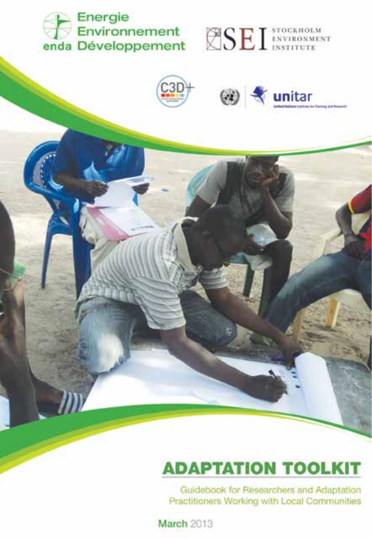







# **ADAPTATION TOOLKIT**

Guidebook for Researchers and Adaptation Practitioners Working with Local Communities

March 2013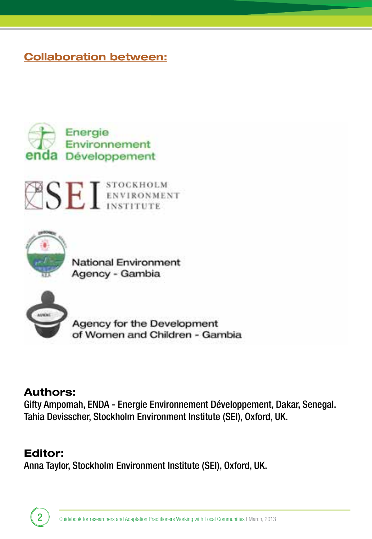# Collaboration between:







**National Environment** Agency - Gambia



Agency for the Development of Women and Children - Gambia

### Authors:

Gifty Ampomah, ENDA - Energie Environnement Développement, Dakar, Senegal. Tahia Devisscher, Stockholm Environment Institute (SEI), Oxford, UK.

### Editor:

Anna Taylor, Stockholm Environment Institute (SEI), Oxford, UK.

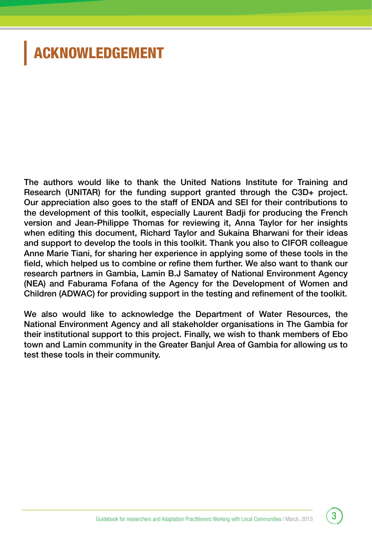# Acknowledgement

The authors would like to thank the United Nations Institute for Training and Research (UNITAR) for the funding support granted through the C3D+ project. Our appreciation also goes to the staff of ENDA and SEI for their contributions to the development of this toolkit, especially Laurent Badji for producing the French version and Jean-Philippe Thomas for reviewing it, Anna Taylor for her insights when editing this document, Richard Taylor and Sukaina Bharwani for their ideas and support to develop the tools in this toolkit. Thank you also to CIFOR colleague Anne Marie Tiani, for sharing her experience in applying some of these tools in the field, which helped us to combine or refine them further. We also want to thank our research partners in Gambia, Lamin B.J Samatey of National Environment Agency (NEA) and Faburama Fofana of the Agency for the Development of Women and Children (ADWAC) for providing support in the testing and refinement of the toolkit.

We also would like to acknowledge the Department of Water Resources, the National Environment Agency and all stakeholder organisations in The Gambia for their institutional support to this project. Finally, we wish to thank members of Ebo town and Lamin community in the Greater Banjul Area of Gambia for allowing us to test these tools in their community.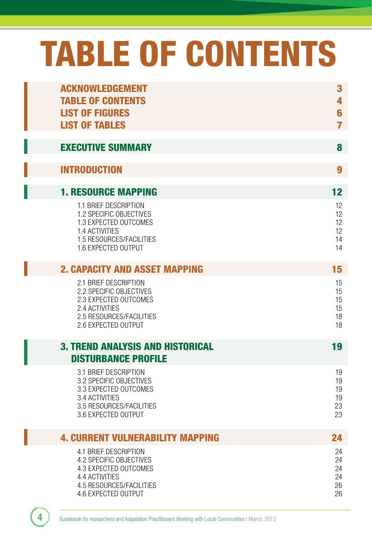# TABLE OF CONTENTS

| <b>ACKNOWLEDGEMENT</b><br><b>TABLE OF CONTENTS</b><br><b>LIST OF FIGURES</b><br><b>LIST OF TABLES</b>                                                 | 3<br>4<br>$6\phantom{a}$<br>$\overline{7}$ |
|-------------------------------------------------------------------------------------------------------------------------------------------------------|--------------------------------------------|
| <b>EXECUTIVE SUMMARY</b>                                                                                                                              | 8                                          |
| <b>INTRODUCTION</b>                                                                                                                                   | 9                                          |
| <b>1. RESOURCE MAPPING</b>                                                                                                                            | 12                                         |
| 1.1 BRIEF DESCRIPTION<br>1.2 SPECIFIC OBJECTIVES<br>1.3 EXPECTED OUTCOMES<br>1.4 ACTIVITIES<br>1.5 RESOURCES/FACILITIES<br>1.6 EXPECTED OUTPUT        | 12<br>12<br>12<br>12<br>14<br>14           |
| <b>2. CAPACITY AND ASSET MAPPING</b>                                                                                                                  | 15                                         |
| 2.1 BRIEF DESCRIPTION<br>2.2 SPECIFIC OBJECTIVES<br>2.3 EXPECTED OUTCOMES<br>2.4 ACTIVITIES<br>2.5 RESOURCES/FACILITIES<br>2.6 EXPECTED OUTPUT        | 15<br>15<br>15<br>15<br>18<br>18           |
| <b>3. TREND ANALYSIS AND HISTORICAL</b><br><b>DISTURBANCE PROFILE</b>                                                                                 | 19                                         |
| 3.1 BRIEF DESCRIPTION<br>3.2 SPECIFIC OBJECTIVES<br>3.3 EXPECTED OUTCOMES<br>3.4 ACTIVITIES<br>3.5 RESOURCES/FACILITIES<br>3.6 EXPECTED OUTPUT        | 19<br>19<br>19<br>19<br>23<br>23           |
| <b>4. CURRENT VULNERABILITY MAPPING</b>                                                                                                               | 24                                         |
| 4.1 BRIEF DESCRIPTION<br>4.2 SPECIFIC OBJECTIVES<br>4.3 EXPECTED OUTCOMES<br><b>4.4 ACTIVITIES</b><br>4.5 RESOURCES/FACILITIES<br>4.6 EXPECTED OUTPUT | 24<br>24<br>24<br>24<br>26<br>26           |

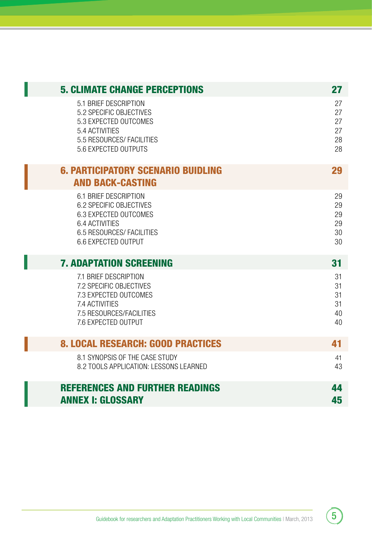| <b>5. CLIMATE CHANGE PERCEPTIONS</b>                                 | 27 |
|----------------------------------------------------------------------|----|
| 5.1 BRIEF DESCRIPTION                                                | 27 |
| 5.2 SPECIFIC OBJECTIVES                                              | 27 |
| 5.3 EXPECTED OUTCOMES                                                | 27 |
| 5.4 ACTIVITIES                                                       | 27 |
| 5.5 RESOURCES/ FACILITIES                                            | 28 |
| 5.6 EXPECTED OUTPUTS                                                 | 28 |
| <b>6. PARTICIPATORY SCENARIO BUIDLING</b><br><b>AND BACK-CASTING</b> | 29 |
| 6.1 BRIEF DESCRIPTION                                                | 29 |
| <b>6.2 SPECIFIC OBJECTIVES</b>                                       | 29 |
| 6.3 EXPECTED OUTCOMES                                                | 29 |
| 6.4 ACTIVITIES                                                       | 29 |
| 6.5 RESOURCES/ FACILITIES                                            | 30 |
| 6.6 EXPECTED OUTPUT                                                  | 30 |
| <b>7. ADAPTATION SCREENING</b>                                       | 31 |
| 7.1 BRIEF DESCRIPTION                                                | 31 |
| <b>7.2 SPECIFIC OBJECTIVES</b>                                       | 31 |
| 7.3 EXPECTED OUTCOMES                                                | 31 |
| 7.4 ACTIVITIES                                                       | 31 |
| 7.5 RESOURCES/FACILITIES                                             | 40 |
| 7.6 EXPECTED OUTPUT                                                  | 40 |
| <b>8. LOCAL RESEARCH: GOOD PRACTICES</b>                             | 41 |
| 8.1 SYNOPSIS OF THE CASE STUDY                                       | 41 |
| 8.2 TOOLS APPLICATION: LESSONS LEARNED                               | 43 |
| <b>REFERENCES AND FURTHER READINGS</b>                               | 44 |
| <b>ANNEX I: GLOSSARY</b>                                             | 45 |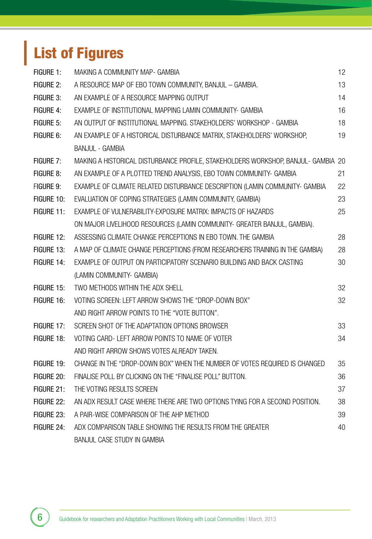# List of Figures

| FIGURE 1:  | MAKING A COMMUNITY MAP- GAMBIA                                                    | 12 |
|------------|-----------------------------------------------------------------------------------|----|
| FIGURE 2:  | A RESOURCE MAP OF EBO TOWN COMMUNITY, BANJUL - GAMBIA.                            | 13 |
| FIGURE 3:  | AN EXAMPLE OF A RESOURCE MAPPING OUTPUT                                           | 14 |
| FIGURE 4:  | EXAMPLE OF INSTITUTIONAL MAPPING LAMIN COMMUNITY- GAMBIA                          | 16 |
| FIGURE 5:  | AN OUTPUT OF INSTITUTIONAL MAPPING. STAKEHOLDERS' WORKSHOP - GAMBIA               | 18 |
| FIGURE 6:  | AN EXAMPLE OF A HISTORICAL DISTURBANCE MATRIX, STAKEHOLDERS' WORKSHOP,            | 19 |
|            | BANJUL - GAMBIA                                                                   |    |
| FIGURE 7:  | MAKING A HISTORICAL DISTURBANCE PROFILE, STAKEHOLDERS WORKSHOP, BANJUL- GAMBIA 20 |    |
| FIGURE 8:  | AN EXAMPLE OF A PLOTTED TREND ANALYSIS, EBO TOWN COMMUNITY- GAMBIA                | 21 |
| FIGURE 9:  | EXAMPLE OF CLIMATE RELATED DISTURBANCE DESCRIPTION (LAMIN COMMUNITY- GAMBIA       | 22 |
| FIGURE 10: | EVALUATION OF COPING STRATEGIES (LAMIN COMMUNITY, GAMBIA)                         | 23 |
| FIGURE 11: | EXAMPLE OF VULNERABILITY-EXPOSURE MATRIX: IMPACTS OF HAZARDS                      | 25 |
|            | ON MAJOR LIVELIHOOD RESOURCES (LAMIN COMMUNITY- GREATER BANJUL, GAMBIA).          |    |
| FIGURE 12: | ASSESSING CLIMATE CHANGE PERCEPTIONS IN EBO TOWN. THE GAMBIA                      | 28 |
| FIGURE 13: | A MAP OF CLIMATE CHANGE PERCEPTIONS (FROM RESEARCHERS TRAINING IN THE GAMBIA)     | 28 |
| FIGURE 14: | EXAMPLE OF OUTPUT ON PARTICIPATORY SCENARIO BUILDING AND BACK CASTING             | 30 |
|            | (LAMIN COMMUNITY- GAMBIA)                                                         |    |
| FIGURE 15: | TWO METHODS WITHIN THE ADX SHELL                                                  | 32 |
| FIGURE 16: | VOTING SCREEN: LEFT ARROW SHOWS THE "DROP-DOWN BOX"                               | 32 |
|            | AND RIGHT ARROW POINTS TO THE "VOTE BUTTON".                                      |    |
| FIGURE 17: | SCREEN SHOT OF THE ADAPTATION OPTIONS BROWSER                                     | 33 |
| FIGURE 18: | VOTING CARD- LEFT ARROW POINTS TO NAME OF VOTER                                   | 34 |
|            | AND RIGHT ARROW SHOWS VOTES ALREADY TAKEN.                                        |    |
| FIGURE 19: | CHANGE IN THE "DROP-DOWN BOX" WHEN THE NUMBER OF VOTES REQUIRED IS CHANGED        | 35 |
| FIGURE 20: | FINALISE POLL BY CLICKING ON THE "FINALISE POLL" BUTTON.                          | 36 |
| FIGURE 21: | THE VOTING RESULTS SCREEN                                                         | 37 |
| FIGURE 22: | AN ADX RESULT CASE WHERE THERE ARE TWO OPTIONS TYING FOR A SECOND POSITION.       | 38 |
| FIGURE 23: | A PAIR-WISE COMPARISON OF THE AHP METHOD                                          | 39 |
| FIGURE 24: | ADX COMPARISON TABLE SHOWING THE RESULTS FROM THE GREATER                         | 40 |
|            | BANJUL CASE STUDY IN GAMBIA                                                       |    |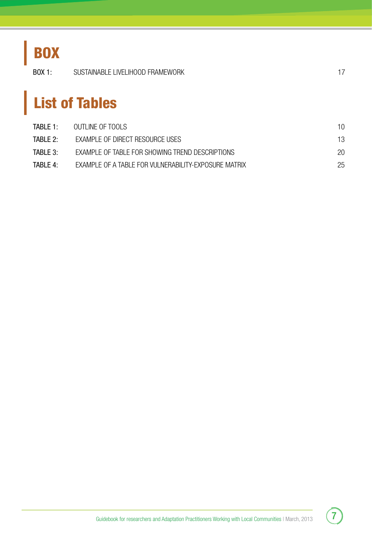# **BOX**

BOX 1: SUSTAINABLE LIVELIHOOD FRAMEWORK 17

# List of Tables

| TARI F 1: | OUTHNE OF TOOLS                                      | 10. |
|-----------|------------------------------------------------------|-----|
| TABLE 2:  | EXAMPLE OF DIRECT RESOURCE USES                      | 13. |
| TABLE 3:  | EXAMPLE OF TABLE FOR SHOWING TREND DESCRIPTIONS      | 20  |
| TARI F 4: | EXAMPLE OF A TABLE FOR VULNERABILITY-EXPOSURE MATRIX | 25  |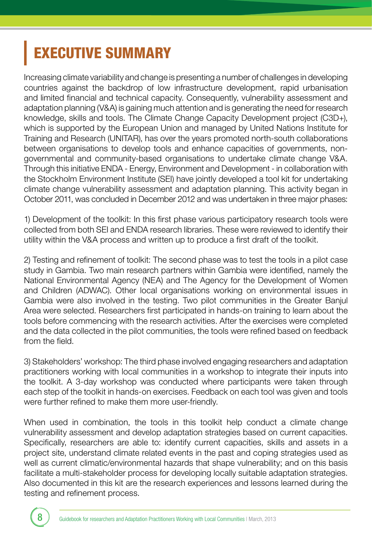# EXECUTIVE SUMMARY

Increasing climate variability and change is presenting a number of challenges in developing countries against the backdrop of low infrastructure development, rapid urbanisation and limited financial and technical capacity. Consequently, vulnerability assessment and adaptation planning (V&A) is gaining much attention and is generating the need for research knowledge, skills and tools. The Climate Change Capacity Development project (C3D+), which is supported by the European Union and managed by United Nations Institute for Training and Research (UNITAR), has over the years promoted north-south collaborations between organisations to develop tools and enhance capacities of governments, nongovernmental and community-based organisations to undertake climate change V&A. Through this initiative ENDA - Energy, Environment and Development - in collaboration with the Stockholm Environment Institute (SEI) have jointly developed a tool kit for undertaking climate change vulnerability assessment and adaptation planning. This activity began in October 2011, was concluded in December 2012 and was undertaken in three major phases:

1) Development of the toolkit: In this first phase various participatory research tools were collected from both SEI and ENDA research libraries. These were reviewed to identify their utility within the V&A process and written up to produce a first draft of the toolkit.

2) Testing and refinement of toolkit: The second phase was to test the tools in a pilot case study in Gambia. Two main research partners within Gambia were identified, namely the National Environmental Agency (NEA) and The Agency for the Development of Women and Children (ADWAC). Other local organisations working on environmental issues in Gambia were also involved in the testing. Two pilot communities in the Greater Banjul Area were selected. Researchers first participated in hands-on training to learn about the tools before commencing with the research activities. After the exercises were completed and the data collected in the pilot communities, the tools were refined based on feedback from the field.

3) Stakeholders' workshop: The third phase involved engaging researchers and adaptation practitioners working with local communities in a workshop to integrate their inputs into the toolkit. A 3-day workshop was conducted where participants were taken through each step of the toolkit in hands-on exercises. Feedback on each tool was given and tools were further refined to make them more user-friendly.

When used in combination, the tools in this toolkit help conduct a climate change vulnerability assessment and develop adaptation strategies based on current capacities. Specifically, researchers are able to: identify current capacities, skills and assets in a project site, understand climate related events in the past and coping strategies used as well as current climatic/environmental hazards that shape vulnerability; and on this basis facilitate a multi-stakeholder process for developing locally suitable adaptation strategies. Also documented in this kit are the research experiences and lessons learned during the testing and refinement process.

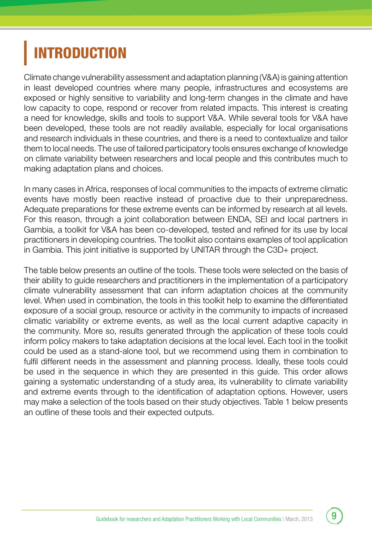# **INTRODUCTION**

Climate change vulnerability assessment and adaptation planning (V&A) is gaining attention in least developed countries where many people, infrastructures and ecosystems are exposed or highly sensitive to variability and long-term changes in the climate and have low capacity to cope, respond or recover from related impacts. This interest is creating a need for knowledge, skills and tools to support V&A. While several tools for V&A have been developed, these tools are not readily available, especially for local organisations and research individuals in these countries, and there is a need to contextualize and tailor them to local needs. The use of tailored participatory tools ensures exchange of knowledge on climate variability between researchers and local people and this contributes much to making adaptation plans and choices.

In many cases in Africa, responses of local communities to the impacts of extreme climatic events have mostly been reactive instead of proactive due to their unpreparedness. Adequate preparations for these extreme events can be informed by research at all levels. For this reason, through a joint collaboration between ENDA, SEI and local partners in Gambia, a toolkit for V&A has been co-developed, tested and refined for its use by local practitioners in developing countries. The toolkit also contains examples of tool application in Gambia. This joint initiative is supported by UNITAR through the C3D+ project.

The table below presents an outline of the tools. These tools were selected on the basis of their ability to guide researchers and practitioners in the implementation of a participatory climate vulnerability assessment that can inform adaptation choices at the community level. When used in combination, the tools in this toolkit help to examine the differentiated exposure of a social group, resource or activity in the community to impacts of increased climatic variability or extreme events, as well as the local current adaptive capacity in the community. More so, results generated through the application of these tools could inform policy makers to take adaptation decisions at the local level. Each tool in the toolkit could be used as a stand-alone tool, but we recommend using them in combination to fulfil different needs in the assessment and planning process. Ideally, these tools could be used in the sequence in which they are presented in this guide. This order allows gaining a systematic understanding of a study area, its vulnerability to climate variability and extreme events through to the identification of adaptation options. However, users may make a selection of the tools based on their study objectives. Table 1 below presents an outline of these tools and their expected outputs.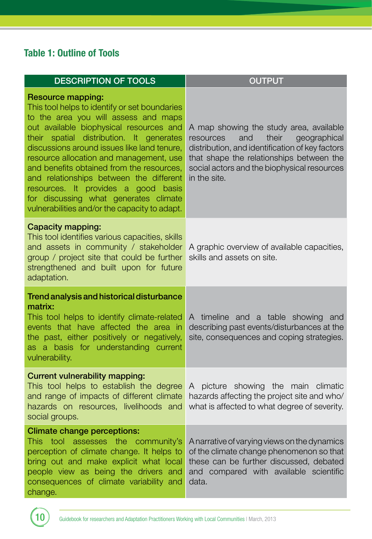# Table 1: Outline of Tools

| <b>DESCRIPTION OF TOOLS</b>                                                                                                                                                                                                                                                                                                                                                                                                                                                                                                 | <b>OUTPUT</b>                                                                                                                                                                                                                                      |
|-----------------------------------------------------------------------------------------------------------------------------------------------------------------------------------------------------------------------------------------------------------------------------------------------------------------------------------------------------------------------------------------------------------------------------------------------------------------------------------------------------------------------------|----------------------------------------------------------------------------------------------------------------------------------------------------------------------------------------------------------------------------------------------------|
| <b>Resource mapping:</b><br>This tool helps to identify or set boundaries<br>to the area you will assess and maps<br>out available biophysical resources and<br>their spatial distribution. It generates<br>discussions around issues like land tenure,<br>resource allocation and management, use<br>and benefits obtained from the resources,<br>and relationships between the different<br>resources. It provides a good basis<br>for discussing what generates climate<br>vulnerabilities and/or the capacity to adapt. | A map showing the study area, available<br>and<br>their<br>resources<br>geographical<br>distribution, and identification of key factors<br>that shape the relationships between the<br>social actors and the biophysical resources<br>in the site. |
| <b>Capacity mapping:</b><br>This tool identifies various capacities, skills<br>and assets in community / stakeholder<br>group / project site that could be further<br>strengthened and built upon for future<br>adaptation.                                                                                                                                                                                                                                                                                                 | A graphic overview of available capacities,<br>skills and assets on site.                                                                                                                                                                          |
| Trend analysis and historical disturbance<br>matrix:<br>This tool helps to identify climate-related<br>events that have affected the area in<br>the past, either positively or negatively,<br>as a basis for understanding current<br>vulnerability.                                                                                                                                                                                                                                                                        | A timeline and a table showing and<br>describing past events/disturbances at the<br>site, consequences and coping strategies.                                                                                                                      |
| <b>Current vulnerability mapping:</b><br>This tool helps to establish the degree<br>and range of impacts of different climate<br>hazards on resources, livelihoods and<br>social groups.                                                                                                                                                                                                                                                                                                                                    | A picture showing the main climatic<br>hazards affecting the project site and who/<br>what is affected to what degree of severity.                                                                                                                 |
| <b>Climate change perceptions:</b><br>tool assesses the community's<br>This:<br>perception of climate change. It helps to<br>bring out and make explicit what local<br>people view as being the drivers and<br>consequences of climate variability and<br>change.                                                                                                                                                                                                                                                           | A narrative of varying views on the dynamics<br>of the climate change phenomenon so that<br>these can be further discussed, debated<br>and compared with available scientific<br>data.                                                             |

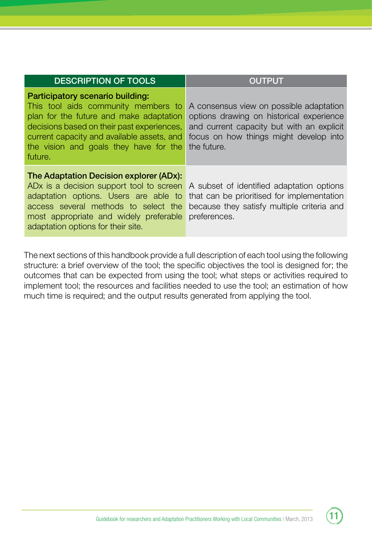| <b>DESCRIPTION OF TOOLS</b>                                                                                                                                                                                                                                         | <b>OUTPUT</b>                                                                                                                                                                             |
|---------------------------------------------------------------------------------------------------------------------------------------------------------------------------------------------------------------------------------------------------------------------|-------------------------------------------------------------------------------------------------------------------------------------------------------------------------------------------|
| Participatory scenario building:<br>This tool aids community members to<br>plan for the future and make adaptation<br>decisions based on their past experiences,<br>current capacity and available assets, and<br>the vision and goals they have for the<br>future. | A consensus view on possible adaptation<br>options drawing on historical experience<br>and current capacity but with an explicit<br>focus on how things might develop into<br>the future. |
| The Adaptation Decision explorer (ADx):<br>ADx is a decision support tool to screen<br>adaptation options. Users are able to<br>access several methods to select the<br>most appropriate and widely preferable<br>adaptation options for their site.                | A subset of identified adaptation options<br>that can be prioritised for implementation<br>because they satisfy multiple criteria and<br>preferences.                                     |

The next sections of this handbook provide a full description of each tool using the following structure: a brief overview of the tool; the specific objectives the tool is designed for; the outcomes that can be expected from using the tool; what steps or activities required to implement tool; the resources and facilities needed to use the tool; an estimation of how much time is required; and the output results generated from applying the tool.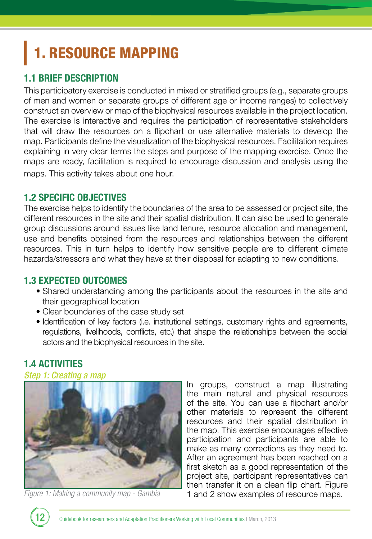# 1. RESOURCE MAPPING

# 1.1 BRIEF DESCRIPTION

This participatory exercise is conducted in mixed or stratified groups (e.g., separate groups of men and women or separate groups of different age or income ranges) to collectively construct an overview or map of the biophysical resources available in the project location. The exercise is interactive and requires the participation of representative stakeholders that will draw the resources on a flipchart or use alternative materials to develop the map. Participants define the visualization of the biophysical resources. Facilitation requires explaining in very clear terms the steps and purpose of the mapping exercise. Once the maps are ready, facilitation is required to encourage discussion and analysis using the maps. This activity takes about one hour.

### 1.2 SPECIFIC OBJECTIVES

The exercise helps to identify the boundaries of the area to be assessed or project site, the different resources in the site and their spatial distribution. It can also be used to generate group discussions around issues like land tenure, resource allocation and management, use and benefits obtained from the resources and relationships between the different resources. This in turn helps to identify how sensitive people are to different climate hazards/stressors and what they have at their disposal for adapting to new conditions.

#### 1.3 EXPECTED OUTCOMES

- Shared understanding among the participants about the resources in the site and their geographical location
- Clear boundaries of the case study set
- Identification of key factors (i.e. institutional settings, customary rights and agreements, regulations, livelihoods, conflicts, etc.) that shape the relationships between the social actors and the biophysical resources in the site.

# 1.4 ACTIVITIES

#### *Step 1: Creating a map*



*Figure 1: Making a community map - Gambia*

In groups, construct a map illustrating the main natural and physical resources of the site. You can use a flipchart and/or other materials to represent the different resources and their spatial distribution in the map. This exercise encourages effective participation and participants are able to make as many corrections as they need to. After an agreement has been reached on a first sketch as a good representation of the project site, participant representatives can then transfer it on a clean flip chart. Figure 1 and 2 show examples of resource maps.

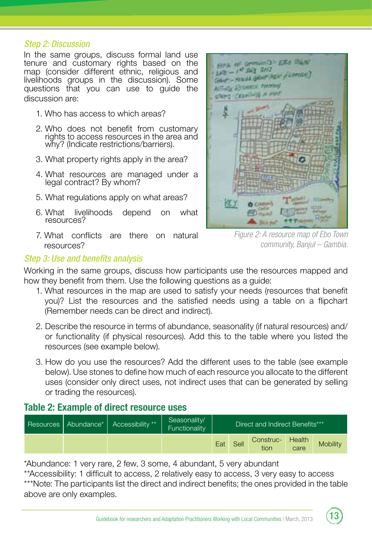#### *Step 2: Discussion*

In the same groups, discuss formal land use tenure and customary rights based on the map (consider different ethnic, religious and livelihoods groups in the discussion). Some questions that you can use to guide the discussion are:

- 1. Who has access to which areas?
- 2. Who does not benefit from customary rights to access resources in the area and why? (Indicate restrictions/barriers).
- 3. What property rights apply in the area?
- 4. What resources are managed under a legal contract? By whom?
- 5. What regulations apply on what areas?
- 6. What livelihoods depend on what resources?
- 7. What conflicts are there on natural resources?

#### *Step 3: Use and benefits analysis*

Working in the same groups, discuss how participants use the resources mapped and how they benefit from them. Use the following questions as a guide:

- 1. What resources in the map are used to satisfy your needs (resources that benefit you)? List the resources and the satisfied needs using a table on a flipchart (Remember needs can be direct and indirect).
- 2. Describe the resource in terms of abundance, seasonality (if natural resources) and/ or functionality (if physical resources). Add this to the table where you listed the resources (see example below).
- 3. How do you use the resources? Add the different uses to the table (see example below). Use stones to define how much of each resource you allocate to the different uses (consider only direct uses, not indirect uses that can be generated by selling or trading the resources).

#### Table 2: Example of direct resource uses

| Resources | Abundance* | Accessibility ** | Seasonality/<br>Functionality | Direct and Indirect Benefits*** |      |                   |                |                 |
|-----------|------------|------------------|-------------------------------|---------------------------------|------|-------------------|----------------|-----------------|
|           |            |                  |                               | Eat                             | Sell | Construc-<br>tion | Health<br>care | <b>Mobility</b> |

\*Abundance: 1 very rare, 2 few, 3 some, 4 abundant, 5 very abundant

\*\*Accessibility: 1 difficult to access, 2 relatively easy to access, 3 very easy to access \*\*\*Note: The participants list the direct and indirect benefits; the ones provided in the table above are only examples.

ANS OF OPPOSITED ERS THAN 112 - 14 Felt 2112 **July - I'd Self 311)**<br>Glash - Hockk Glosh War (Kombe) **Activity Alsowman Fourteent CRPS CKENTHIS A MAY NISH** 住了

*Figure 2: A resource map of Ebo Town community, Banjul – Gambia.*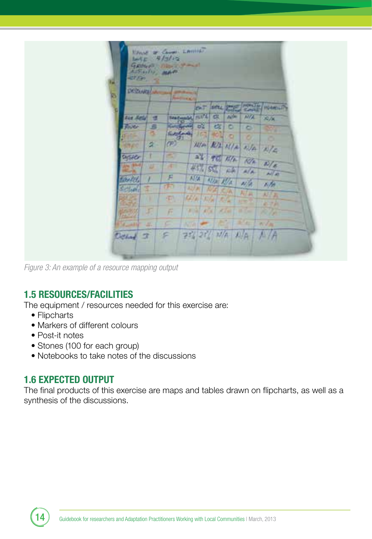**LAWIN** News or County  $417100$ **MATER** GRAND DANCE ATTENDE **MAIN** 427.750 DECLARE 医科 A.T **SIPEZ** 250 **INGRATILE**  $-0.5$ 置 **ALC AVIA Fox Rely R** 24 b2  $\overline{\alpha}$ ø **The Sea** л ö В 36 u, 8 ä  $M = RT_1 / T_4$ 121  $E/L$  $\frac{1}{2}$ r  $\overline{27}$ **OVERED** 47 **KITA KIE**  $E/\bar{e}$ л 23% ш œ 边盘  $\overline{A/\overline{A}}$ Hi a E  $\overline{MS}$ э Alla Alla 10.518 vita **A** 3372 **Click** × ïш **CETA** XV. 弄 **STO** ×  $\sqrt{n}$ A /A e  $23/2$ 75% AJA Dollard  $\frac{1}{2}$ 

*Figure 3: An example of a resource mapping output*

### 1.5 RESOURCES/FACILITIES

The equipment / resources needed for this exercise are:

- Flipcharts
- Markers of different colours
- Post-it notes
- Stones (100 for each group)
- Notebooks to take notes of the discussions

#### 1.6 EXPECTED OUTPUT

The final products of this exercise are maps and tables drawn on flipcharts, as well as a synthesis of the discussions.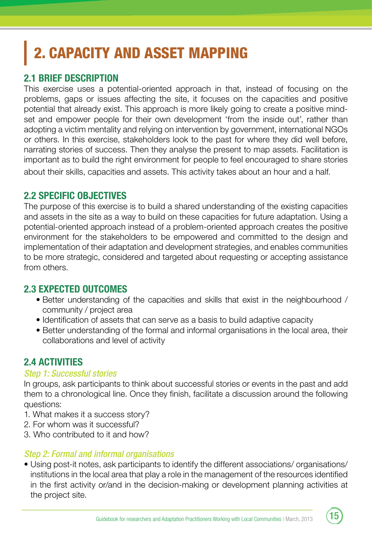# 2. CAPACITY AND ASSET MAPPING

# 2.1 BRIEF DESCRIPTION

This exercise uses a potential-oriented approach in that, instead of focusing on the problems, gaps or issues affecting the site, it focuses on the capacities and positive potential that already exist. This approach is more likely going to create a positive mindset and empower people for their own development 'from the inside out', rather than adopting a victim mentality and relying on intervention by government, international NGOs or others. In this exercise, stakeholders look to the past for where they did well before, narrating stories of success. Then they analyse the present to map assets. Facilitation is important as to build the right environment for people to feel encouraged to share stories about their skills, capacities and assets. This activity takes about an hour and a half.

# 2.2 SPECIFIC OBJECTIVES

The purpose of this exercise is to build a shared understanding of the existing capacities and assets in the site as a way to build on these capacities for future adaptation. Using a potential-oriented approach instead of a problem-oriented approach creates the positive environment for the stakeholders to be empowered and committed to the design and implementation of their adaptation and development strategies, and enables communities to be more strategic, considered and targeted about requesting or accepting assistance from others.

# 2.3 EXPECTED OUTCOMES

- Better understanding of the capacities and skills that exist in the neighbourhood / community / project area
- Identification of assets that can serve as a basis to build adaptive capacity
- Better understanding of the formal and informal organisations in the local area, their collaborations and level of activity

# 2.4 ACTIVITIES

#### *Step 1: Successful stories*

In groups, ask participants to think about successful stories or events in the past and add them to a chronological line. Once they finish, facilitate a discussion around the following questions:

- 1. What makes it a success story?
- 2. For whom was it successful?
- 3. Who contributed to it and how?

#### *Step 2: Formal and informal organisations*

• Using post-it notes, ask participants to identify the different associations/ organisations/ institutions in the local area that play a role in the management of the resources identified in the first activity or/and in the decision-making or development planning activities at the project site.

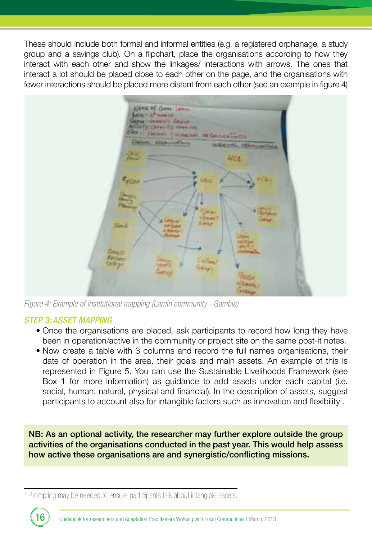These should include both formal and informal entities (e.g. a registered orphanage, a study group and a savings club). On a flipchart, place the organisations according to how they interact with each other and show the linkages/ interactions with arrows. The ones that interact a lot should be placed close to each other on the page, and the organisations with fewer interactions should be placed more distant from each other (see an example in figure 4)



*Figure 4: Example of institutional mapping (Lamin community - Gambia)*

#### *Step 3: Asset mapping*

- Once the organisations are placed, ask participants to record how long they have been in operation/active in the community or project site on the same post-it notes.
- Now create a table with 3 columns and record the full names organisations, their date of operation in the area, their goals and main assets. An example of this is represented in Figure 5. You can use the Sustainable Livelihoods Framework (see Box 1 for more information) as guidance to add assets under each capital (i.e. social, human, natural, physical and financial). In the description of assets, suggest participants to account also for intangible factors such as innovation and flexibility<sup>1</sup>.

NB: As an optional activity, the researcher may further explore outside the group activities of the organisations conducted in the past year. This would help assess how active these organisations are and synergistic/conflicting missions.

<sup>1</sup> Prompting may be needed to ensure participants talk about intangible assets.

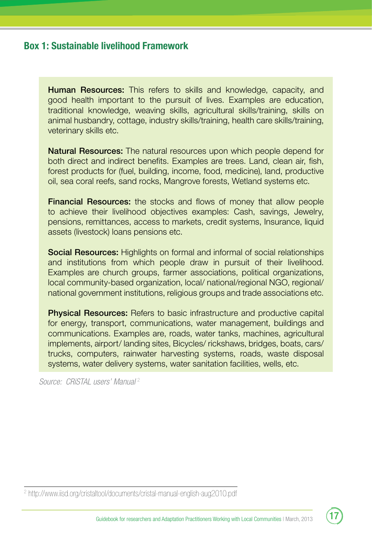#### Box 1: Sustainable livelihood Framework

Human Resources: This refers to skills and knowledge, capacity, and good health important to the pursuit of lives. Examples are education, traditional knowledge, weaving skills, agricultural skills/training, skills on animal husbandry, cottage, industry skills/training, health care skills/training, veterinary skills etc.

Natural Resources: The natural resources upon which people depend for both direct and indirect benefits. Examples are trees. Land, clean air, fish, forest products for (fuel, building, income, food, medicine), land, productive oil, sea coral reefs, sand rocks, Mangrove forests, Wetland systems etc.

Financial Resources: the stocks and flows of money that allow people to achieve their livelihood objectives examples: Cash, savings, Jewelry, pensions, remittances, access to markets, credit systems, Insurance, liquid assets (livestock) loans pensions etc.

Social Resources: Highlights on formal and informal of social relationships and institutions from which people draw in pursuit of their livelihood. Examples are church groups, farmer associations, political organizations, local community-based organization, local/ national/regional NGO, regional/ national government institutions, religious groups and trade associations etc.

Physical Resources: Refers to basic infrastructure and productive capital for energy, transport, communications, water management, buildings and communications. Examples are, roads, water tanks, machines, agricultural implements, airport/ landing sites, Bicycles/ rickshaws, bridges, boats, cars/ trucks, computers, rainwater harvesting systems, roads, waste disposal systems, water delivery systems, water sanitation facilities, wells, etc.

*Source: CRiSTAL users' Manual* <sup>2</sup>

2 http://www.iisd.org/cristaltool/documents/cristal-manual-english-aug2010.pdf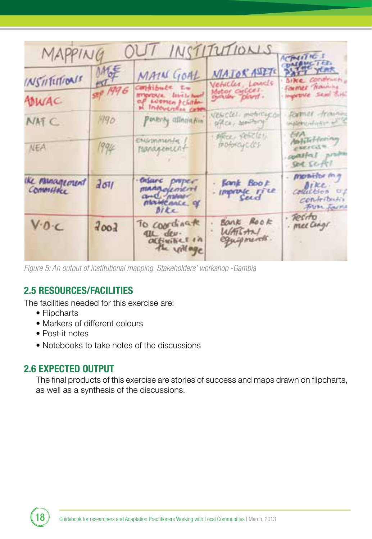| MAPPING                            |                 | OUT INSTITUTIONS                                                          |                                                       | <b>ACTIVITIES</b>                                                            |
|------------------------------------|-----------------|---------------------------------------------------------------------------|-------------------------------------------------------|------------------------------------------------------------------------------|
| INSITutions                        | MOF             | MAIN GOAL                                                                 | MAJOR ANETS                                           | PART YEAR<br><b>BIKE</b> continuent                                          |
| ADWAC                              | <b>SEP 1996</b> | confibute to<br><b>Brigatovic,</b> favole heart<br>of women petition      | Vehicles, Louise<br>Motor Cyclett.<br>Cymulur phirit. | FORMER HOWAINS<br>Improve sent on                                            |
| NAT C                              | 190             | pontrty allociation                                                       | vescleti metrojco<br>office, working                  | former travers<br><b>MARKWHATER AT SE</b>                                    |
| NEA                                | 1994            | ENsimmenta /<br>Management                                                | · Africa, Venetici,<br>MORRAYCOS.                     | <b>BIA</b><br>Antilettening<br><b>GREACTIE</b><br>constal proba<br>SOC SCALL |
| the <i>management</i><br>Committee | $d$ 61/         | · Onsare proper<br>management<br>and me<br>mamenace of                    | <b>Fank</b> Boot<br>· improve rice                    | monitor my<br>Dike.<br>Collection<br>contribution<br>From Forme              |
| V O C                              | 2002            | DIKE<br>To coordinate<br><b>I'LL</b> dev.<br>activities in<br>the village | Bank Rook<br>WATSAN<br>equipments.                    | resrto<br>. mee Congr                                                        |

*Figure 5: An output of institutional mapping. Stakeholders' workshop -Gambia*

### 2.5 RESOURCES/FACILITIES

The facilities needed for this exercise are:

- Flipcharts
- Markers of different colours
- Post-it notes
- Notebooks to take notes of the discussions

#### 2.6 EXPECTED OUTPUT

The final products of this exercise are stories of success and maps drawn on flipcharts, as well as a synthesis of the discussions.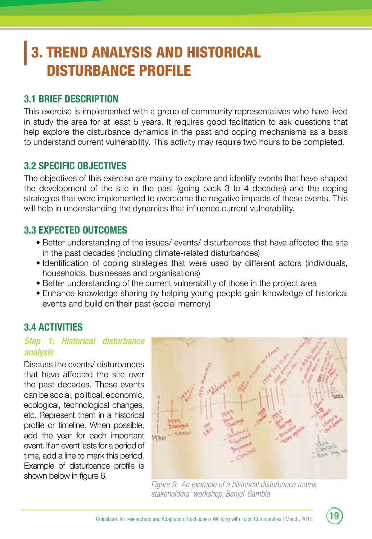# 3. TREND ANALYSIS AND HISTORICAL DISTURBANCE PROFILE

# 3.1 BRIEF DESCRIPTION

This exercise is implemented with a group of community representatives who have lived in study the area for at least 5 years. It requires good facilitation to ask questions that help explore the disturbance dynamics in the past and coping mechanisms as a basis to understand current vulnerability. This activity may require two hours to be completed.

# 3.2 SPECIFIC OBJECTIVES

The objectives of this exercise are mainly to explore and identify events that have shaped the development of the site in the past (going back 3 to 4 decades) and the coping strategies that were implemented to overcome the negative impacts of these events. This will help in understanding the dynamics that influence current vulnerability.

# 3.3 EXPECTED OUTCOMES

- Better understanding of the issues/ events/ disturbances that have affected the site in the past decades (including climate-related disturbances)
- Identification of coping strategies that were used by different actors (individuals, households, businesses and organisations)
- Better understanding of the current vulnerability of those in the project area
- Enhance knowledge sharing by helping young people gain knowledge of historical events and build on their past (social memory)

# 3.4 ACTIVITIES

#### *Step 1: Historical disturbance analysis*

Discuss the events/ disturbances that have affected the site over the past decades. These events can be social, political, economic, ecological, technological changes, etc. Represent them in a historical profile or timeline. When possible, add the year for each important event. If an event lasts for a period of time, add a line to mark this period. Example of disturbance profile is shown below in figure 6.



*Figure 6: An example of a historical disturbance matrix, stakeholders' workshop, Banjul-Gambia*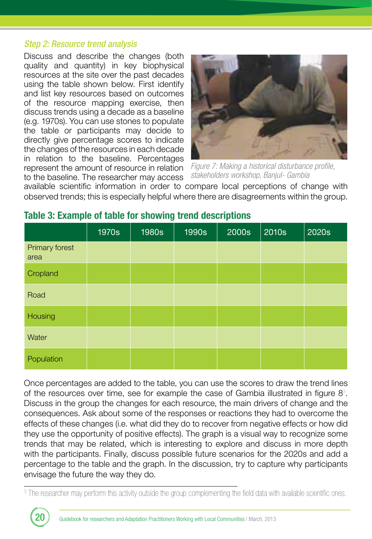#### *Step 2: Resource trend analysis*

Discuss and describe the changes (both quality and quantity) in key biophysical resources at the site over the past decades using the table shown below. First identify and list key resources based on outcomes of the resource mapping exercise, then discuss trends using a decade as a baseline (e.g. 1970s). You can use stones to populate the table or participants may decide to directly give percentage scores to indicate the changes of the resources in each decade in relation to the baseline. Percentages represent the amount of resource in relation to the baseline. The researcher may access



*Figure 7: Making a historical disturbance profile, stakeholders workshop, Banjul- Gambia*

available scientific information in order to compare local perceptions of change with observed trends; this is especially helpful where there are disagreements within the group.

|                        | 1970s | 1980s | 1990s | 2000s | 2010s | 2020s |
|------------------------|-------|-------|-------|-------|-------|-------|
| Primary forest<br>area |       |       |       |       |       |       |
| Cropland               |       |       |       |       |       |       |
| Road                   |       |       |       |       |       |       |
| Housing                |       |       |       |       |       |       |
| Water                  |       |       |       |       |       |       |
| Population             |       |       |       |       |       |       |

#### Table 3: Example of table for showing trend descriptions

Once percentages are added to the table, you can use the scores to draw the trend lines of the resources over time, see for example the case of Gambia illustrated in figure  $8^{\circ}$ . Discuss in the group the changes for each resource, the main drivers of change and the consequences. Ask about some of the responses or reactions they had to overcome the effects of these changes (i.e. what did they do to recover from negative effects or how did they use the opportunity of positive effects). The graph is a visual way to recognize some trends that may be related, which is interesting to explore and discuss in more depth with the participants. Finally, discuss possible future scenarios for the 2020s and add a percentage to the table and the graph. In the discussion, try to capture why participants envisage the future the way they do.

<sup>3</sup> The researcher may perform this activity outside the group complementing the field data with available scientific ones.

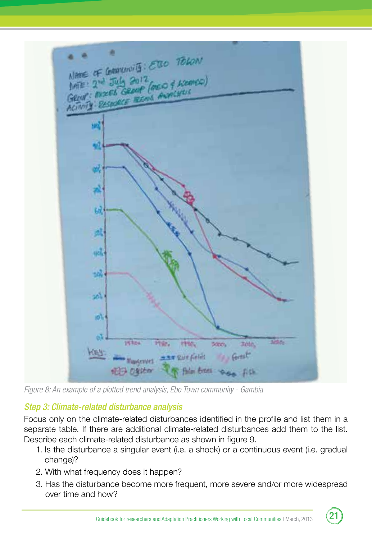

*Figure 8: An example of a plotted trend analysis, Ebo Town community - Gambia*

#### *Step 3: Climate-related disturbance analysis*

Focus only on the climate-related disturbances identified in the profile and list them in a separate table. If there are additional climate-related disturbances add them to the list. Describe each climate-related disturbance as shown in figure 9.

- 1. Is the disturbance a singular event (i.e. a shock) or a continuous event (i.e. gradual change)?
- 2. With what frequency does it happen?
- 3. Has the disturbance become more frequent, more severe and/or more widespread over time and how?

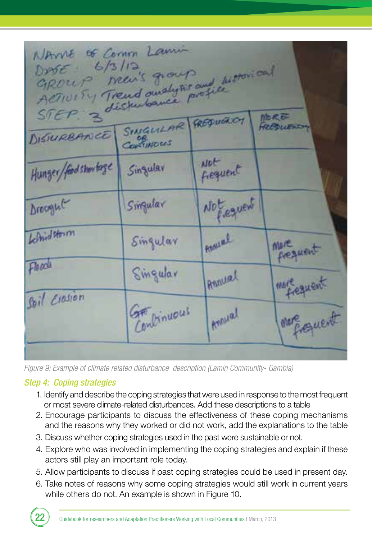NAWLE OF Comm Lamin NAME of Comm Lamin<br>DASE: 6/3/12<br>GROUP Need's group<br>ACTIVITY Trend omaly Register (MOR) SINGLILAR REQUELOT **NORE** REDUPALY DISTURBANCE Hunger/food show tage **NOT** Singular Fiequent Drought Singular Notcauent Lethind storm Angual Singular **Alsie** preguent Floody Singular Annual Soil Exasion and hinuous Mare Greguert Annual

*Figure 9: Example of climate related disturbance description (Lamin Community- Gambia)*

#### *Step 4: Coping strategies*

- 1. Identify and describe the coping strategies that were used in response to the most frequent or most severe climate-related disturbances. Add these descriptions to a table
- 2. Encourage participants to discuss the effectiveness of these coping mechanisms and the reasons why they worked or did not work, add the explanations to the table
- 3. Discuss whether coping strategies used in the past were sustainable or not.
- 4. Explore who was involved in implementing the coping strategies and explain if these actors still play an important role today.
- 5. Allow participants to discuss if past coping strategies could be used in present day.
- 6. Take notes of reasons why some coping strategies would still work in current years while others do not. An example is shown in Figure 10.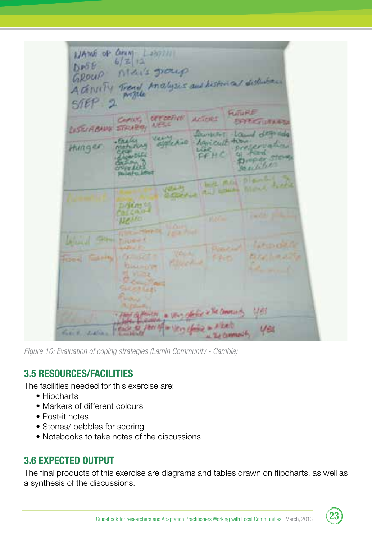$M$ And of any Leoning<br>Dese 6/3/12<br>GROUP Men's group AROUN Trend Analysis and historical distinction STEP **UTURE** CAPIX, CEEDERIC ALTERS **EFFECTURARY ALESS LISRIABIUS STRATES** family 1 - Laund State Role Vergenio -Ereley havicult time prezervation Hunger Haturing سي 4) Point **Cartific** Droper Stor British **PEACH** afer 18 (bet not plant) **ANTIQUES BOOK AND** VELAS ... 35000 **Distroy COLLEGAN Heifo** Tilue- $2.1760$ ing in Castledo Filip **Roman** Beck **RALLING William** Charles Chain **SHOEN LEE Ford Night-**The affiliate is very office a lie commonly 1/33 **John H**  $\frac{1}{2}$  and  $\frac{1}{2}$  and  $\frac{1}{2}$  and  $\frac{1}{2}$  and  $\frac{1}{2}$  and  $\frac{1}{2}$  and  $\frac{1}{2}$  and  $\frac{1}{2}$ yes Washington Charles

*Figure 10: Evaluation of coping strategies (Lamin Community - Gambia)*

# 3.5 RESOURCES/FACILITIES

The facilities needed for this exercise are:

- Flipcharts
- Markers of different colours
- Post-it notes
- Stones/ pebbles for scoring
- Notebooks to take notes of the discussions

### 3.6 EXPECTED OUTPUT

The final products of this exercise are diagrams and tables drawn on flipcharts, as well as a synthesis of the discussions.

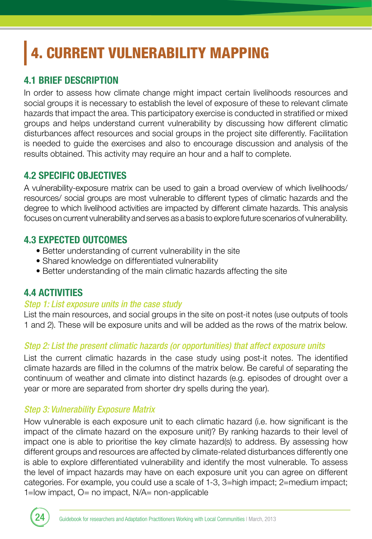# 4. CURRENT VULNERABILITY MAPPING

# 4.1 BRIEF DESCRIPTION

In order to assess how climate change might impact certain livelihoods resources and social groups it is necessary to establish the level of exposure of these to relevant climate hazards that impact the area. This participatory exercise is conducted in stratified or mixed groups and helps understand current vulnerability by discussing how different climatic disturbances affect resources and social groups in the project site differently. Facilitation is needed to guide the exercises and also to encourage discussion and analysis of the results obtained. This activity may require an hour and a half to complete.

# 4.2 SPECIFIC OBJECTIVES

A vulnerability-exposure matrix can be used to gain a broad overview of which livelihoods/ resources/ social groups are most vulnerable to different types of climatic hazards and the degree to which livelihood activities are impacted by different climate hazards. This analysis focuses on current vulnerability and serves as a basis to explore future scenarios of vulnerability.

#### 4.3 EXPECTED OUTCOMES

- Better understanding of current vulnerability in the site
- Shared knowledge on differentiated vulnerability
- Better understanding of the main climatic hazards affecting the site

### 4.4 ACTIVITIES

#### *Step 1: List exposure units in the case study*

List the main resources, and social groups in the site on post-it notes (use outputs of tools 1 and 2). These will be exposure units and will be added as the rows of the matrix below.

#### *Step 2: List the present climatic hazards (or opportunities) that affect exposure units*

List the current climatic hazards in the case study using post-it notes. The identified climate hazards are filled in the columns of the matrix below. Be careful of separating the continuum of weather and climate into distinct hazards (e.g. episodes of drought over a year or more are separated from shorter dry spells during the year).

#### *Step 3: Vulnerability Exposure Matrix*

How vulnerable is each exposure unit to each climatic hazard (i.e. how significant is the impact of the climate hazard on the exposure unit)? By ranking hazards to their level of impact one is able to prioritise the key climate hazard(s) to address. By assessing how different groups and resources are affected by climate-related disturbances differently one is able to explore differentiated vulnerability and identify the most vulnerable. To assess the level of impact hazards may have on each exposure unit you can agree on different categories. For example, you could use a scale of 1-3, 3=high impact; 2=medium impact; 1=low impact, O= no impact, N/A= non-applicable

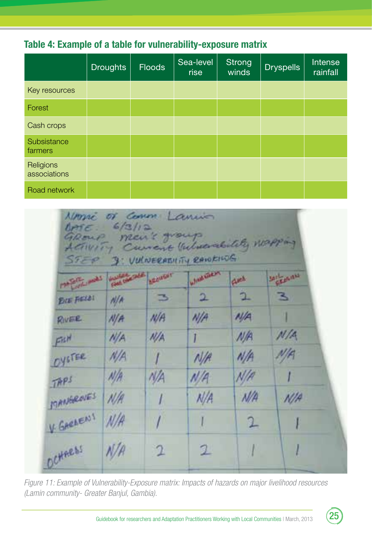# Table 4: Example of a table for vulnerability-exposure matrix

|                           | Droughts | <b>Floods</b> | Sea-level<br>rise | <b>Strong</b><br>winds | <b>Dryspells</b> | Intense<br>rainfall |
|---------------------------|----------|---------------|-------------------|------------------------|------------------|---------------------|
| Key resources             |          |               |                   |                        |                  |                     |
| Forest                    |          |               |                   |                        |                  |                     |
| Cash crops                |          |               |                   |                        |                  |                     |
| Subsistance<br>farmers    |          |               |                   |                        |                  |                     |
| Religions<br>associations |          |               |                   |                        |                  |                     |
| Road network              |          |               |                   |                        |                  |                     |

or comme Lanin *<u>Almani</u>*  $L$ me.  $6/3/12$ GROUP Men's group 3: VULNERABILITY RAIDERUDG wheat Glen **SAS WORKING ONE MEASURE** مسرحاتها dath **EILE FIELD!** ъ 2. э. NIA  $N/A$ NA. **N/A** N/A **RIVER**  $N/A$ N/A  $N/A$ **N/A** FISH CYSTER  $N/A$  $N/A$  $N/F$  $N/A$  $N/A$ N/R **NA**  $\pi P^s$ **MANGRAIES N/A** N/A N/A NA V. GARAENT N/A OCHARAS **N/B** 

*Figure 11: Example of Vulnerability-Exposure matrix: Impacts of hazards on major livelihood resources (Lamin community- Greater Banjul, Gambia).*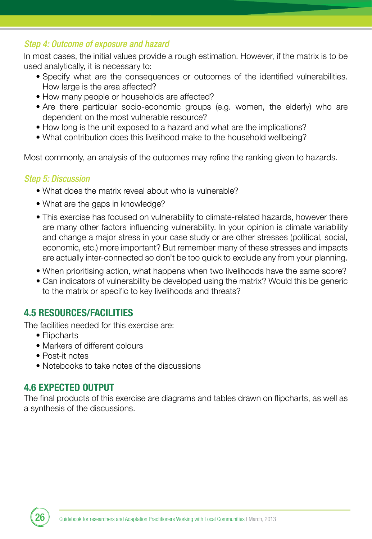#### *Step 4: Outcome of exposure and hazard*

In most cases, the initial values provide a rough estimation. However, if the matrix is to be used analytically, it is necessary to:

- Specify what are the consequences or outcomes of the identified vulnerabilities. How large is the area affected?
- How many people or households are affected?
- Are there particular socio-economic groups (e.g. women, the elderly) who are dependent on the most vulnerable resource?
- How long is the unit exposed to a hazard and what are the implications?
- What contribution does this livelihood make to the household wellbeing?

Most commonly, an analysis of the outcomes may refine the ranking given to hazards.

#### *Step 5: Discussion*

- What does the matrix reveal about who is vulnerable?
- What are the gaps in knowledge?
- This exercise has focused on vulnerability to climate-related hazards, however there are many other factors influencing vulnerability. In your opinion is climate variability and change a major stress in your case study or are other stresses (political, social, economic, etc.) more important? But remember many of these stresses and impacts are actually inter-connected so don't be too quick to exclude any from your planning.
- When prioritising action, what happens when two livelihoods have the same score?
- Can indicators of vulnerability be developed using the matrix? Would this be generic to the matrix or specific to key livelihoods and threats?

### 4.5 RESOURCES/FACILITIES

The facilities needed for this exercise are:

- Flipcharts
- Markers of different colours
- Post-it notes
- Notebooks to take notes of the discussions

### 4.6 EXPECTED OUTPUT

The final products of this exercise are diagrams and tables drawn on flipcharts, as well as a synthesis of the discussions.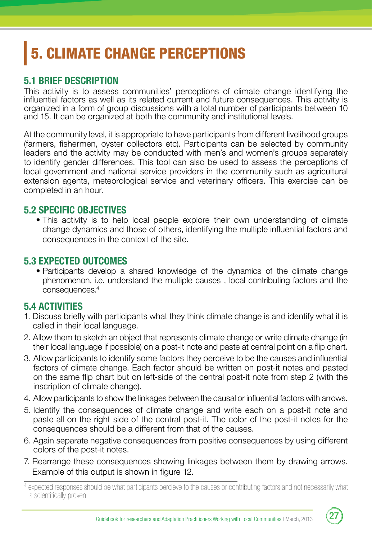# 5. CLIMATE CHANGE PERCEPTIONS

## 5.1 BRIEF DESCRIPTION

This activity is to assess communities' perceptions of climate change identifying the influential factors as well as its related current and future consequences. This activity is organized in a form of group discussions with a total number of participants between 10 and 15. It can be organized at both the community and institutional levels.

At the community level, it is appropriate to have participants from different livelihood groups (farmers, fishermen, oyster collectors etc). Participants can be selected by community leaders and the activity may be conducted with men's and women's groups separately to identify gender differences. This tool can also be used to assess the perceptions of local government and national service providers in the community such as agricultural extension agents, meteorological service and veterinary officers. This exercise can be completed in an hour.

#### 5.2 SPECIFIC OBJECTIVES

• This activity is to help local people explore their own understanding of climate change dynamics and those of others, identifying the multiple influential factors and consequences in the context of the site.

#### 5.3 EXPECTED OUTCOMES

• Participants develop a shared knowledge of the dynamics of the climate change phenomenon, i.e. understand the multiple causes , local contributing factors and the consequences.4

### 5.4 ACTIVITIES

- 1. Discuss briefly with participants what they think climate change is and identify what it is called in their local language.
- 2. Allow them to sketch an object that represents climate change or write climate change (in their local language if possible) on a post-it note and paste at central point on a flip chart.
- 3. Allow participants to identify some factors they perceive to be the causes and influential factors of climate change. Each factor should be written on post-it notes and pasted on the same flip chart but on left-side of the central post-it note from step 2 (with the inscription of climate change).
- 4. Allow participants to show the linkages between the causal or influential factors with arrows.
- 5. Identify the consequences of climate change and write each on a post-it note and paste all on the right side of the central post-it. The color of the post-it notes for the consequences should be a different from that of the causes.
- 6. Again separate negative consequences from positive consequences by using different colors of the post-it notes.
- 7. Rearrange these consequences showing linkages between them by drawing arrows. Example of this output is shown in figure 12.

<sup>4</sup> expected responses should be what participants percieve to the causes or contributing factors and not necessarily what is scientifically proven.

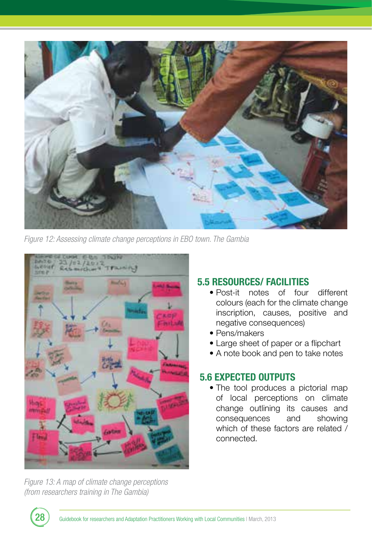

*Figure 12: Assessing climate change perceptions in EBO town. The Gambia*



*Figure 13: A map of climate change perceptions (from researchers training in The Gambia)*

# 5.5 RESOURCES/ FACILITIES

- Post-it notes of four different colours (each for the climate change inscription, causes, positive and negative consequences)
- Pens/makers
- Large sheet of paper or a flipchart
- A note book and pen to take notes

#### 5.6 EXPECTED OUTPUTS

• The tool produces a pictorial map of local perceptions on climate change outlining its causes and consequences and showing which of these factors are related / connected.

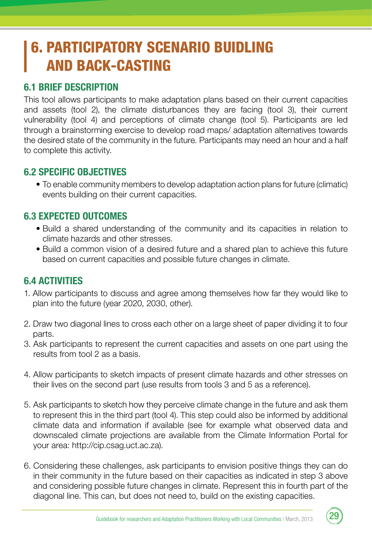# 6. PARTICIPATORY SCENARIO BUIDLING AND BACK-CASTING

### 6.1 BRIEF DESCRIPTION

This tool allows participants to make adaptation plans based on their current capacities and assets (tool 2), the climate disturbances they are facing (tool 3), their current vulnerability (tool 4) and perceptions of climate change (tool 5). Participants are led through a brainstorming exercise to develop road maps/ adaptation alternatives towards the desired state of the community in the future. Participants may need an hour and a half to complete this activity.

### 6.2 SPECIFIC OBJECTIVES

• To enable community members to develop adaptation action plans for future (climatic) events building on their current capacities.

### 6.3 EXPECTED OUTCOMES

- Build a shared understanding of the community and its capacities in relation to climate hazards and other stresses.
- Build a common vision of a desired future and a shared plan to achieve this future based on current capacities and possible future changes in climate.

### 6.4 ACTIVITIES

- 1. Allow participants to discuss and agree among themselves how far they would like to plan into the future (year 2020, 2030, other).
- 2. Draw two diagonal lines to cross each other on a large sheet of paper dividing it to four parts.
- 3. Ask participants to represent the current capacities and assets on one part using the results from tool 2 as a basis.
- 4. Allow participants to sketch impacts of present climate hazards and other stresses on their lives on the second part (use results from tools 3 and 5 as a reference).
- 5. Ask participants to sketch how they perceive climate change in the future and ask them to represent this in the third part (tool 4). This step could also be informed by additional climate data and information if available (see for example what observed data and downscaled climate projections are available from the Climate Information Portal for your area: http://cip.csag.uct.ac.za).
- 6. Considering these challenges, ask participants to envision positive things they can do in their community in the future based on their capacities as indicated in step 3 above and considering possible future changes in climate. Represent this in fourth part of the diagonal line. This can, but does not need to, build on the existing capacities.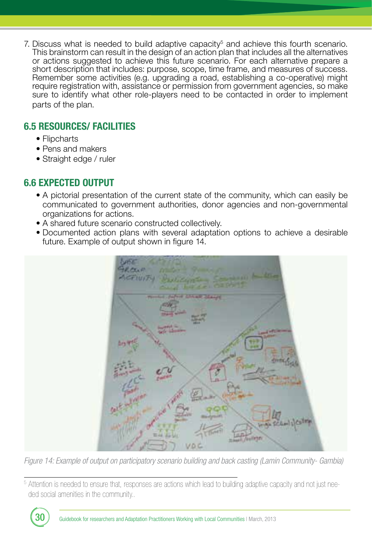7. Discuss what is needed to build adaptive capacity<sup>5</sup> and achieve this fourth scenario. This brainstorm can result in the design of an action plan that includes all the alternatives or actions suggested to achieve this future scenario. For each alternative prepare a short description that includes: purpose, scope, time frame, and measures of success. Remember some activities (e.g. upgrading a road, establishing a co-operative) might require registration with, assistance or permission from government agencies, so make sure to identify what other role-players need to be contacted in order to implement parts of the plan.

# 6.5 RESOURCES/ FACILITIES

- Flipcharts
- Pens and makers
- Straight edge / ruler

# 6.6 EXPECTED OUTPUT

- A pictorial presentation of the current state of the community, which can easily be communicated to government authorities, donor agencies and non-governmental organizations for actions.
- A shared future scenario constructed collectively.
- Documented action plans with several adaptation options to achieve a desirable future. Example of output shown in figure 14.



*Figure 14: Example of output on participatory scenario building and back casting (Lamin Community- Gambia)*

<sup>&</sup>lt;sup>5</sup> Attention is needed to ensure that, responses are actions which lead to building adaptive capacity and not just needed social amenities in the community..

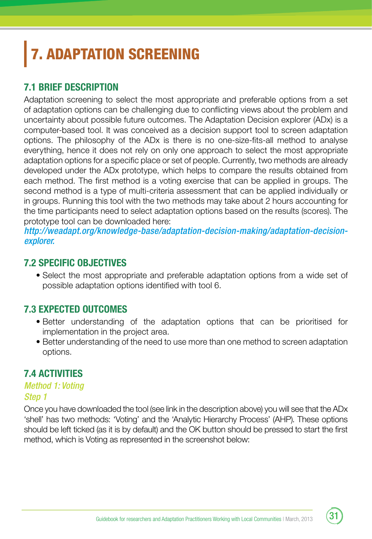# 7. ADAPTATION SCREENING

# 7.1 BRIEF DESCRIPTION

Adaptation screening to select the most appropriate and preferable options from a set of adaptation options can be challenging due to conflicting views about the problem and uncertainty about possible future outcomes. The Adaptation Decision explorer (ADx) is a computer-based tool. It was conceived as a decision support tool to screen adaptation options. The philosophy of the ADx is there is no one-size-fits-all method to analyse everything, hence it does not rely on only one approach to select the most appropriate adaptation options for a specific place or set of people. Currently, two methods are already developed under the ADx prototype, which helps to compare the results obtained from each method. The first method is a voting exercise that can be applied in groups. The second method is a type of multi-criteria assessment that can be applied individually or in groups. Running this tool with the two methods may take about 2 hours accounting for the time participants need to select adaptation options based on the results (scores). The prototype tool can be downloaded here:

*http://weadapt.org/knowledge-base/adaptation-decision-making/adaptation-decisionexplorer.*

### 7.2 SPECIFIC OBJECTIVES

• Select the most appropriate and preferable adaptation options from a wide set of possible adaptation options identified with tool 6.

### 7.3 EXPECTED OUTCOMES

- Better understanding of the adaptation options that can be prioritised for implementation in the project area.
- Better understanding of the need to use more than one method to screen adaptation options.

# 7.4 ACTIVITIES

#### *Method 1: Voting*

#### *Step 1*

Once you have downloaded the tool (see link in the description above) you will see that the ADx 'shell' has two methods: 'Voting' and the 'Analytic Hierarchy Process' (AHP). These options should be left ticked (as it is by default) and the OK button should be pressed to start the first method, which is Voting as represented in the screenshot below: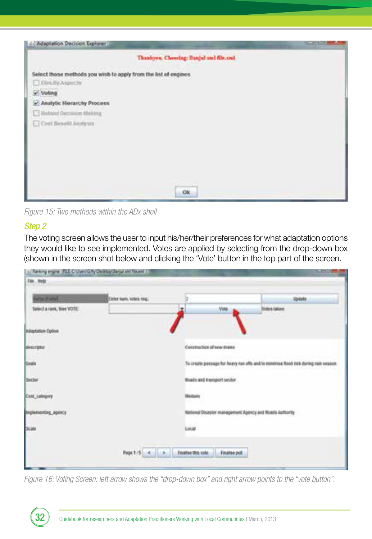

*Figure 15: Two methods within the ADx shell*

The voting screen allows the user to input his/her/their preferences for what adaptation options they would like to see implemented. Votes are applied by selecting from the drop-down box (shown in the screen shot below and clicking the 'Vote' button in the top part of the screen.

| of 17 arms                | Enter num. votes req.: | g                  |                           | Update                                                                             |
|---------------------------|------------------------|--------------------|---------------------------|------------------------------------------------------------------------------------|
| Select a rank, then VOTE: |                        |                    | Vote                      | Votes takes:                                                                       |
| Adaptation Option         |                        |                    |                           |                                                                                    |
| descriptor                |                        |                    | Construction of new draws |                                                                                    |
| <b>Goals</b>              |                        |                    |                           | To create passage for heavy run offs and to numerous flood risk during rash select |
| Sector                    |                        |                    | Rivet hopest to and       |                                                                                    |
| Cost, calvanty            |                        | <b>Sledum</b><br>W |                           |                                                                                    |
| mplementing_agency        |                        |                    |                           | National Disaster management Agency and Noeds Authority                            |
| Scale                     |                        | tion               |                           |                                                                                    |

*Figure 16: Voting Screen: left arrow shows the "drop-down box" and right arrow points to the "vote button".*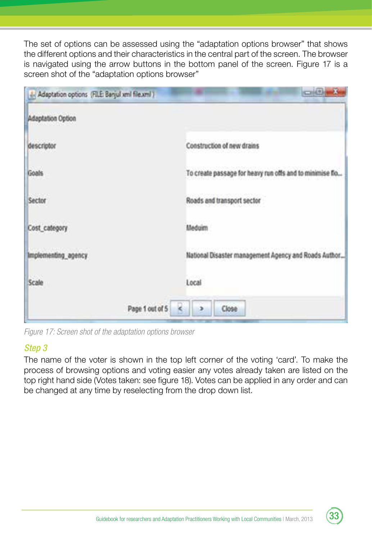The set of options can be assessed using the "adaptation options browser" that shows the different options and their characteristics in the central part of the screen. The browser is navigated using the arrow buttons in the bottom panel of the screen. Figure 17 is a screen shot of the "adaptation options browser"

| 4. Adaptation options (FILE: Banjul xml file.xml) | ×<br>$-162$                                              |
|---------------------------------------------------|----------------------------------------------------------|
| Adaptation Option                                 |                                                          |
| descriptor                                        | Construction of new drains                               |
| Goals                                             | To create passage for heavy run offs and to minimise flo |
| Sector                                            | Roads and transport sector                               |
| Cost_category                                     | Meduim                                                   |
| Implementing_agency                               | National Disaster management Agency and Roads Author     |
| Scale                                             | Local                                                    |
| Page 1 out of 5                                   | Close                                                    |

*Figure 17: Screen shot of the adaptation options browser*

#### *Step 3*

The name of the voter is shown in the top left corner of the voting 'card'. To make the process of browsing options and voting easier any votes already taken are listed on the top right hand side (Votes taken: see figure 18). Votes can be applied in any order and can be changed at any time by reselecting from the drop down list.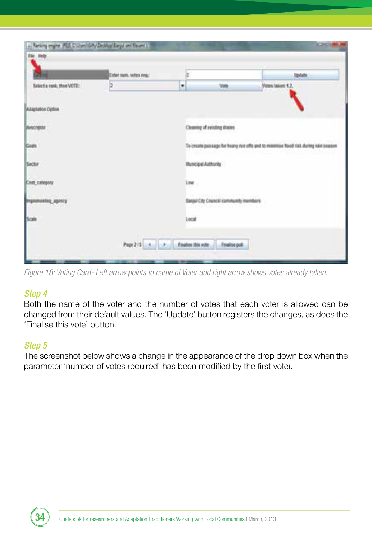|                                                    | Enter num, verso neg: |       |                                                                                                 | <b>Stylute</b>                                                                      |
|----------------------------------------------------|-----------------------|-------|-------------------------------------------------------------------------------------------------|-------------------------------------------------------------------------------------|
| Select a rask, then VOTE:<br><b>DOMESTICS</b> WITH | z                     | ٠     | Vote                                                                                            | Votes takes: 1.2.                                                                   |
| Adaptation Option                                  |                       |       |                                                                                                 |                                                                                     |
| <b>DOMESTIC</b><br><b>Intercretor</b><br>0 0 F 3 6 |                       |       | Cleaning of evising drains                                                                      |                                                                                     |
| Gues                                               |                       |       | <b>CONTRACTORS</b>                                                                              | To create passage for heavy run offs and to minimize flood risk during rain season. |
| Sector                                             |                       |       | <b>Municipal Authority</b>                                                                      |                                                                                     |
| Cost_category                                      |                       | Low   |                                                                                                 |                                                                                     |
| an may a short<br><b>Implementing_apincy</b>       |                       |       | association and the<br>Slargel City Council community members<br><u>IN STREET IN THE STREET</u> |                                                                                     |
| Scale                                              |                       | locat |                                                                                                 |                                                                                     |

*Figure 18: Voting Card- Left arrow points to name of Voter and right arrow shows votes already taken.*

Both the name of the voter and the number of votes that each voter is allowed can be changed from their default values. The 'Update' button registers the changes, as does the 'Finalise this vote' button.

#### *Step 5*

The screenshot below shows a change in the appearance of the drop down box when the parameter 'number of votes required' has been modified by the first voter.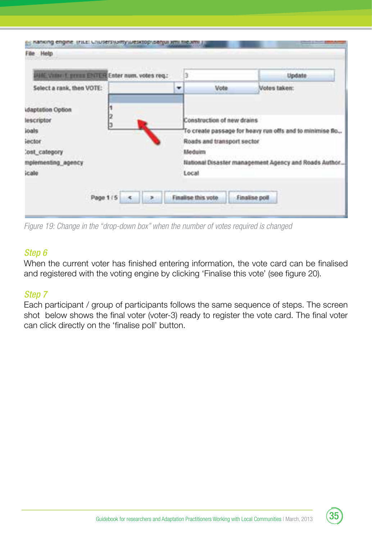| AHE VIEW 1. press ENTER Enter num. votes req.: | э      |                            | Update                                                   |
|------------------------------------------------|--------|----------------------------|----------------------------------------------------------|
| Select a rank, then VOTE:                      |        | Vote                       | Votes taken:                                             |
| daptation Option                               |        |                            |                                                          |
| lescriptor                                     |        | Construction of new drains |                                                          |
| alsoi                                          |        |                            | To create passage for heavy run offs and to minimise flo |
| sector                                         |        | Roads and transport sector |                                                          |
| lost_category                                  | Meduim |                            |                                                          |
| mplementing agency                             |        |                            | National Disaster management Agency and Roads Author     |
| icale                                          | Local  |                            |                                                          |

*Figure 19: Change in the "drop-down box" when the number of votes required is changed*

When the current voter has finished entering information, the vote card can be finalised and registered with the voting engine by clicking 'Finalise this vote' (see figure 20).

#### *Step 7*

Each participant / group of participants follows the same sequence of steps. The screen shot below shows the final voter (voter-3) ready to register the vote card. The final voter can click directly on the 'finalise poll' button.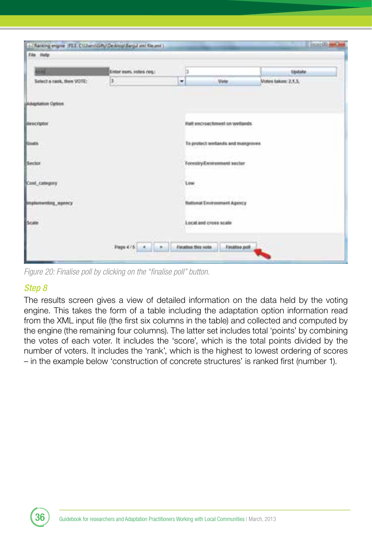| <b>15</b><br><b>Help</b>                               |                                                                                                                                                                                                                                                                                                                                                                                                 |                   |                                                                                                               |                                  |
|--------------------------------------------------------|-------------------------------------------------------------------------------------------------------------------------------------------------------------------------------------------------------------------------------------------------------------------------------------------------------------------------------------------------------------------------------------------------|-------------------|---------------------------------------------------------------------------------------------------------------|----------------------------------|
|                                                        | Enter nom, votes req.:                                                                                                                                                                                                                                                                                                                                                                          | b                 |                                                                                                               | Update                           |
| Select a rank, then VOTE:<br><b>INSTRUCTION</b>        | $\vert 3 \rangle$                                                                                                                                                                                                                                                                                                                                                                               | <b>Stoke</b><br>٠ |                                                                                                               | Votes taken: 2.1.1.<br>San retor |
| Moleptiation Option                                    |                                                                                                                                                                                                                                                                                                                                                                                                 |                   |                                                                                                               |                                  |
| descriptor                                             |                                                                                                                                                                                                                                                                                                                                                                                                 |                   | Halt encroachment on wetlands                                                                                 |                                  |
| <b>Boone</b>                                           |                                                                                                                                                                                                                                                                                                                                                                                                 |                   | To protect wetlands and mangreves<br>1992년 1992년 1월 1일 1일 1일 1일 1일 1일 1일                                      |                                  |
| Socion                                                 |                                                                                                                                                                                                                                                                                                                                                                                                 |                   | Forestry@www.mment.techer                                                                                     |                                  |
| Cost category                                          |                                                                                                                                                                                                                                                                                                                                                                                                 | Low               |                                                                                                               |                                  |
| <b>SEARCH CONTRACTOR</b><br><b>Emplomenting</b> agency |                                                                                                                                                                                                                                                                                                                                                                                                 |                   | Sale Leatener String of Carling Called<br><b>National Environment Agency</b><br>2007년 1월 1일 전 전 1월 1일 전 1월 1일 |                                  |
| Scale                                                  |                                                                                                                                                                                                                                                                                                                                                                                                 |                   | Local and cross scale<br><b>AT LE PERMIT AND</b>                                                              |                                  |
|                                                        | Page 4/5 $\begin{array}{ c c c c c }\hline \textbf{a} & \textbf{b} & \textbf{F1} & \textbf{F1} & \textbf{F2} & \textbf{F3} & \textbf{F1} & \textbf{F2} & \textbf{F3} & \textbf{F2} & \textbf{F3} & \textbf{F1} & \textbf{F2} & \textbf{F3} & \textbf{F2} & \textbf{F3} & \textbf{F4} & \textbf{F5} & \textbf{F6} & \textbf{F7} & \textbf{F8} & \textbf{F8} & \textbf{F9} & \textbf{F9} & \text$ |                   | Finalise poll                                                                                                 |                                  |

*Figure 20: Finalise poll by clicking on the "finalise poll" button.*

The results screen gives a view of detailed information on the data held by the voting engine. This takes the form of a table including the adaptation option information read from the XML input file (the first six columns in the table) and collected and computed by the engine (the remaining four columns). The latter set includes total 'points' by combining the votes of each voter. It includes the 'score', which is the total points divided by the number of voters. It includes the 'rank', which is the highest to lowest ordering of scores – in the example below 'construction of concrete structures' is ranked first (number 1).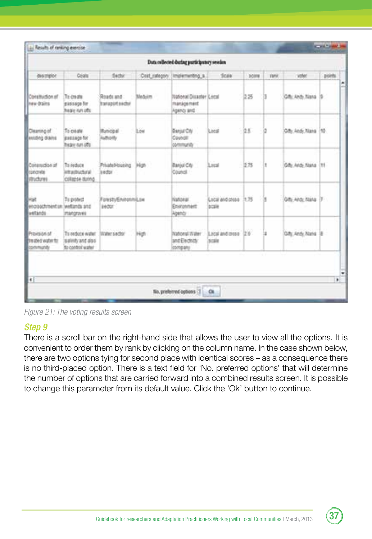|                                                       |                                                          |                                        |        | Data collected during purticipatory session                       |                                 |         |             |                        |        |
|-------------------------------------------------------|----------------------------------------------------------|----------------------------------------|--------|-------------------------------------------------------------------|---------------------------------|---------|-------------|------------------------|--------|
| descriptor                                            | Céals                                                    | Sector                                 |        | Cost_category (Implementing a                                     | <b>Scale</b>                    | 3 Citra | <b>rank</b> | voted                  | points |
| Construction of<br><b>Insuranzins</b>                 | To create<br>minissipp for<br>the run plead.             | Roads and<br><b>Instage/teacher</b>    | Medulm | <b>TUSchal Disaster Local</b><br>management<br><b>Dres LonseA</b> |                                 | 23      | а           | Gft: And-Tiana 9       |        |
| Cleaning of<br>assating diams                         | To create<br>gassage for<br>heav on oth                  | Municipal<br>Authority                 | ltine  | Banjut City<br>Council<br>community                               | Local                           | its:    |             | Office And Chang (10)  |        |
| Columnists of<br>concrete<br>mudures                  | To reduce<br><b><i>ATTAINMENT</i></b><br>collapse during | Private Housing High<br>sector         |        | Banjul City<br>Council                                            | 3, ecal                         | 15.75   | Ħ           | Offy. Andy filana (11) |        |
| <b>Hait</b><br>engagement in lwettings and<br>wetands | To protect<br>mangraves                                  | Forestru@nutronmil_car<br><b>INOUT</b> |        | <b>National</b><br>Environment<br>Hoency                          | Local and cross 71.75<br>bisile |         |             | Gifti Andr. Nana (7 -  |        |
| Provision of<br>the able to easier for<br>community   | To reduce water<br>salinity and also<br>to control water | Water sedan                            | High   | <b>Traditional Water</b><br>and Evolutiv<br>company               | Lice and over 20<br>scale       |         |             | Offs. Andy, Naris B    |        |

*Figure 21: The voting results screen*

There is a scroll bar on the right-hand side that allows the user to view all the options. It is convenient to order them by rank by clicking on the column name. In the case shown below, there are two options tying for second place with identical scores – as a consequence there is no third-placed option. There is a text field for 'No. preferred options' that will determine the number of options that are carried forward into a combined results screen. It is possible to change this parameter from its default value. Click the 'Ok' button to continue.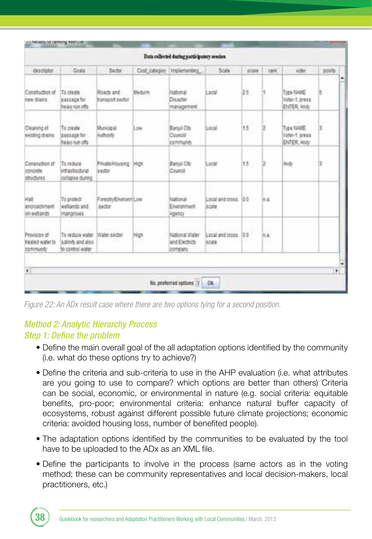|                                                |                                                          |                               |                                | Data collected during participatory session |                                      |              |       |                                             |        |
|------------------------------------------------|----------------------------------------------------------|-------------------------------|--------------------------------|---------------------------------------------|--------------------------------------|--------------|-------|---------------------------------------------|--------|
| descriptor                                     | Goals                                                    | Sador.                        |                                | Cost_category Intelementing                 | Scale                                | <b>SCOFE</b> | canic | voter                                       | points |
| Construction of<br>hea drains                  | To create<br>passage for<br>heavy run afts               | Roads and<br>transport sector | <b>STATE</b><br><b>MAdulfr</b> | <b>Material</b><br>Disactier<br>management  | Local                                | 25           |       | Type NAME<br>Votel-1, press.<br>ENTER, Andy |        |
| Cleaning of<br>anisting chains                 | To create<br>passage for<br>heavy run offs               | Municipal<br>Authority        | Low                            | Banjul City<br>Council<br>community         | Local                                | 15           |       | Type 1948E<br>Voter-1, press<br>ENTER, Andy |        |
| Construction of<br>concrete:<br>structures.    | Ta reduce<br>intrastructural<br>collapse during          | Private/Housing<br>14 chief   | 34ch                           | Banjul City<br>Council                      | Local                                | 15           |       | Andy                                        |        |
| Haft.<br>encreachment<br>on wetands            | To protect<br><b>britands</b> and<br>mangroves           | ForestruEnarcantLow<br>sedor  |                                | Istorial<br>Eneroniert.<br>Agency           | Local and cross 10.0<br><b>SCAFE</b> |              | $n +$ |                                             |        |
| Provision of<br>the share bearing<br>community | To reduce water<br>salinity and also<br>ho control water | Water sector                  | High                           | National Water<br>and Electrich<br>compani  | Local and cross (0.0<br>scale        |              | na:   |                                             |        |

*Figure 22: An ADx result case where there are two options tying for a second position.*

### *Method 2: Analytic Hierarchy Process Step 1: Define the problem*

- Define the main overall goal of the all adaptation options identified by the community (i.e. what do these options try to achieve?)
- Define the criteria and sub-criteria to use in the AHP evaluation (i.e. what attributes are you going to use to compare? which options are better than others) Criteria can be social, economic, or environmental in nature (e.g. social criteria: equitable benefits, pro-poor; environmental criteria: enhance natural buffer capacity of ecosystems, robust against different possible future climate projections; economic criteria: avoided housing loss, number of benefited people).
- The adaptation options identified by the communities to be evaluated by the tool have to be uploaded to the ADx as an XML file.
- Define the participants to involve in the process (same actors as in the voting method; these can be community representatives and local decision-makers, local practitioners, etc.)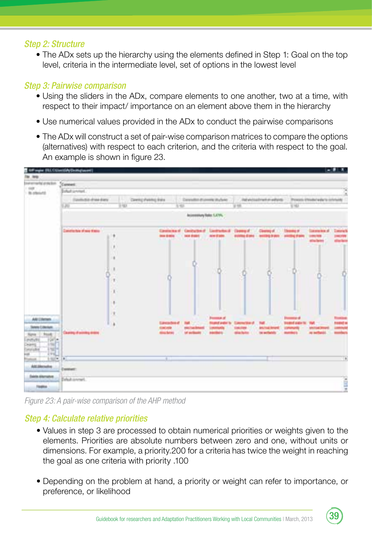#### *Step 2: Structure*

• The ADx sets up the hierarchy using the elements defined in Step 1: Goal on the top level, criteria in the intermediate level, set of options in the lowest level

#### *Step 3: Pairwise comparison*

- Using the sliders in the ADx, compare elements to one another, two at a time, with respect to their impact/ importance on an element above them in the hierarchy
- Use numerical values provided in the ADx to conduct the pairwise comparisons
- The ADx will construct a set of pair-wise comparison matrices to compare the options (alternatives) with respect to each criterion, and the criteria with respect to the goal. An example is shown in figure 23.



*Figure 23: A pair-wise comparison of the AHP method*

#### *Step 4: Calculate relative priorities*

- Values in step 3 are processed to obtain numerical priorities or weights given to the elements. Priorities are absolute numbers between zero and one, without units or dimensions. For example, a priority.200 for a criteria has twice the weight in reaching the goal as one criteria with priority .100
- Depending on the problem at hand, a priority or weight can refer to importance, or preference, or likelihood

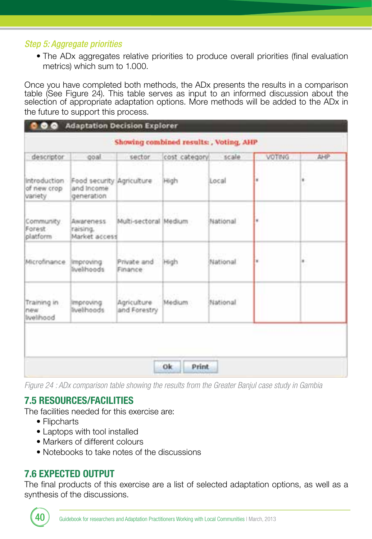#### *Step 5: Aggregate priorities*

• The ADx aggregates relative priorities to produce overall priorities (final evaluation metrics) which sum to 1.000.

Once you have completed both methods, the ADx presents the results in a comparison table (See Figure 24). This table serves as input to an informed discussion about the selection of appropriate adaptation options. More methods will be added to the ADx in the future to support this process.

| descriptor                                     | goal                                                  | sector                      | cost category | scale    | <b>VOTING</b> | AHP.   |
|------------------------------------------------|-------------------------------------------------------|-----------------------------|---------------|----------|---------------|--------|
| <b>Introduction</b><br>of new crop<br>wariety. | Food security Agriculture<br>and Income<br>generation |                             | High          | Local    |               | ×<br>÷ |
| Community.<br>Forest<br>platform               | Awareness<br>raising.<br>Market access                | Multi-sectoral Medium       |               | National | ×             |        |
| Microfinance                                   | improving<br>Iivelihoods                              | Private and High<br>Finance |               | National | ۰             |        |
| Training in<br>new<br>Itvelihood               | limproving<br>livelihoods                             | Agriculture<br>and Forestry | Medium        | National |               |        |

*Figure 24 : ADx comparison table showing the results from the Greater Banjul case study in Gambia*

# 7.5 RESOURCES/FACILITIES

The facilities needed for this exercise are:

- Flipcharts
- Laptops with tool installed
- Markers of different colours
- Notebooks to take notes of the discussions

### 7.6 EXPECTED OUTPUT

The final products of this exercise are a list of selected adaptation options, as well as a synthesis of the discussions.

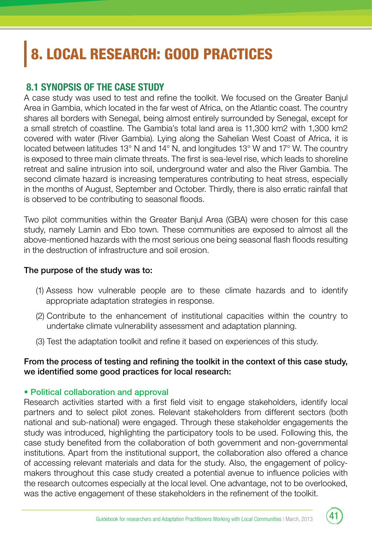# 8. LOCAL RESEARCH: GOOD PRACTICES

# 8.1 SYNOPSIS OF THE CASE STUDY

A case study was used to test and refine the toolkit. We focused on the Greater Banjul Area in Gambia, which located in the far west of Africa, on the Atlantic coast. The country shares all borders with Senegal, being almost entirely surrounded by Senegal, except for a small stretch of coastline. The Gambia's total land area is 11,300 km2 with 1,300 km2 covered with water (River Gambia). Lying along the Sahelian West Coast of Africa, it is located between latitudes 13° N and 14° N, and longitudes 13° W and 17° W. The country is exposed to three main climate threats. The first is sea-level rise, which leads to shoreline retreat and saline intrusion into soil, underground water and also the River Gambia. The second climate hazard is increasing temperatures contributing to heat stress, especially in the months of August, September and October. Thirdly, there is also erratic rainfall that is observed to be contributing to seasonal floods.

Two pilot communities within the Greater Banjul Area (GBA) were chosen for this case study, namely Lamin and Ebo town. These communities are exposed to almost all the above-mentioned hazards with the most serious one being seasonal flash floods resulting in the destruction of infrastructure and soil erosion.

#### The purpose of the study was to:

- (1) Assess how vulnerable people are to these climate hazards and to identify appropriate adaptation strategies in response.
- (2) Contribute to the enhancement of institutional capacities within the country to undertake climate vulnerability assessment and adaptation planning.
- (3) Test the adaptation toolkit and refine it based on experiences of this study.

#### From the process of testing and refining the toolkit in the context of this case study, we identified some good practices for local research:

#### • Political collaboration and approval

Research activities started with a first field visit to engage stakeholders, identify local partners and to select pilot zones. Relevant stakeholders from different sectors (both national and sub-national) were engaged. Through these stakeholder engagements the study was introduced, highlighting the participatory tools to be used. Following this, the case study benefited from the collaboration of both government and non-governmental institutions. Apart from the institutional support, the collaboration also offered a chance of accessing relevant materials and data for the study. Also, the engagement of policymakers throughout this case study created a potential avenue to influence policies with the research outcomes especially at the local level. One advantage, not to be overlooked, was the active engagement of these stakeholders in the refinement of the toolkit.

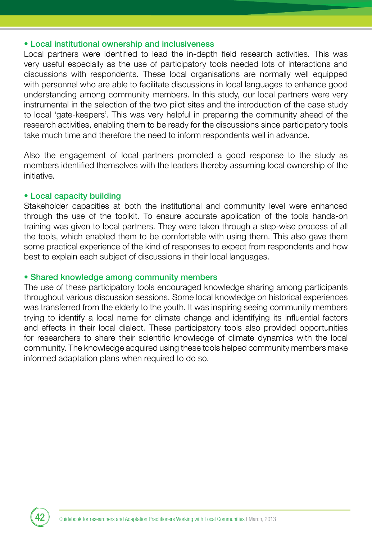#### • Local institutional ownership and inclusiveness

Local partners were identified to lead the in-depth field research activities. This was very useful especially as the use of participatory tools needed lots of interactions and discussions with respondents. These local organisations are normally well equipped with personnel who are able to facilitate discussions in local languages to enhance good understanding among community members. In this study, our local partners were very instrumental in the selection of the two pilot sites and the introduction of the case study to local 'gate-keepers'. This was very helpful in preparing the community ahead of the research activities, enabling them to be ready for the discussions since participatory tools take much time and therefore the need to inform respondents well in advance.

Also the engagement of local partners promoted a good response to the study as members identified themselves with the leaders thereby assuming local ownership of the initiative.

#### • Local capacity building

Stakeholder capacities at both the institutional and community level were enhanced through the use of the toolkit. To ensure accurate application of the tools hands-on training was given to local partners. They were taken through a step-wise process of all the tools, which enabled them to be comfortable with using them. This also gave them some practical experience of the kind of responses to expect from respondents and how best to explain each subject of discussions in their local languages.

#### • Shared knowledge among community members

The use of these participatory tools encouraged knowledge sharing among participants throughout various discussion sessions. Some local knowledge on historical experiences was transferred from the elderly to the youth. It was inspiring seeing community members trying to identify a local name for climate change and identifying its influential factors and effects in their local dialect. These participatory tools also provided opportunities for researchers to share their scientific knowledge of climate dynamics with the local community. The knowledge acquired using these tools helped community members make informed adaptation plans when required to do so.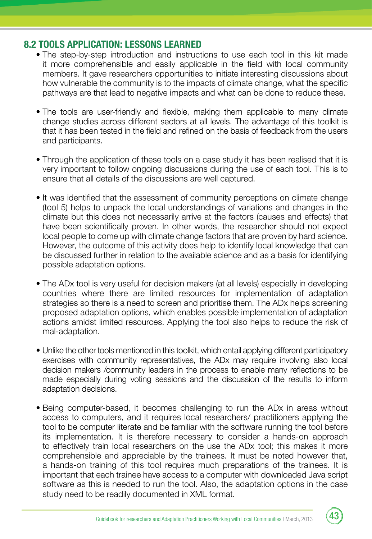#### 8.2 TOOLS APPLICATION: LESSONS LEARNED

- The step-by-step introduction and instructions to use each tool in this kit made it more comprehensible and easily applicable in the field with local community members. It gave researchers opportunities to initiate interesting discussions about how vulnerable the community is to the impacts of climate change, what the specific pathways are that lead to negative impacts and what can be done to reduce these.
- The tools are user-friendly and flexible, making them applicable to many climate change studies across different sectors at all levels. The advantage of this toolkit is that it has been tested in the field and refined on the basis of feedback from the users and participants.
- Through the application of these tools on a case study it has been realised that it is very important to follow ongoing discussions during the use of each tool. This is to ensure that all details of the discussions are well captured.
- It was identified that the assessment of community perceptions on climate change (tool 5) helps to unpack the local understandings of variations and changes in the climate but this does not necessarily arrive at the factors (causes and effects) that have been scientifically proven. In other words, the researcher should not expect local people to come up with climate change factors that are proven by hard science. However, the outcome of this activity does help to identify local knowledge that can be discussed further in relation to the available science and as a basis for identifying possible adaptation options.
- The ADx tool is very useful for decision makers (at all levels) especially in developing countries where there are limited resources for implementation of adaptation strategies so there is a need to screen and prioritise them. The ADx helps screening proposed adaptation options, which enables possible implementation of adaptation actions amidst limited resources. Applying the tool also helps to reduce the risk of mal-adaptation.
- Unlike the other tools mentioned in this toolkit, which entail applying different participatory exercises with community representatives, the ADx may require involving also local decision makers /community leaders in the process to enable many reflections to be made especially during voting sessions and the discussion of the results to inform adaptation decisions.
- Being computer-based, it becomes challenging to run the ADx in areas without access to computers, and it requires local researchers/ practitioners applying the tool to be computer literate and be familiar with the software running the tool before its implementation. It is therefore necessary to consider a hands-on approach to effectively train local researchers on the use the ADx tool; this makes it more comprehensible and appreciable by the trainees. It must be noted however that, a hands-on training of this tool requires much preparations of the trainees. It is important that each trainee have access to a computer with downloaded Java script software as this is needed to run the tool. Also, the adaptation options in the case study need to be readily documented in XML format.

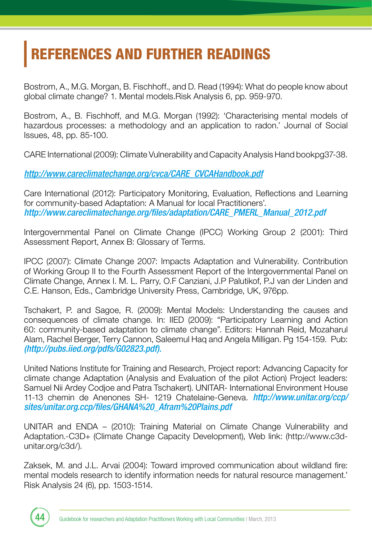# REFERENCES AND FURTHER READINGS

Bostrom, A., M.G. Morgan, B. Fischhoff., and D. Read (1994): What do people know about global climate change? 1. Mental models.Risk Analysis 6, pp. 959-970.

Bostrom, A., B. Fischhoff, and M.G. Morgan (1992): 'Characterising mental models of hazardous processes: a methodology and an application to radon.' Journal of Social Issues, 48, pp. 85-100.

CARE International (2009): Climate Vulnerability and Capacity Analysis Hand bookpg37-38.

*http://www.careclimatechange.org/cvca/CARE\_CVCAHandbook.pdf*

Care International (2012): Participatory Monitoring, Evaluation, Reflections and Learning for community-based Adaptation: A Manual for local Practitioners'. *http://www.careclimatechange.org/files/adaptation/CARE\_PMERL\_Manual\_2012.pdf*

Intergovernmental Panel on Climate Change (IPCC) Working Group 2 (2001): Third Assessment Report, Annex B: Glossary of Terms.

IPCC (2007): Climate Change 2007: Impacts Adaptation and Vulnerability. Contribution of Working Group II to the Fourth Assessment Report of the Intergovernmental Panel on Climate Change, Annex I. M. L. Parry, O.F Canziani, J.P Palutikof, P.J van der Linden and C.E. Hanson, Eds., Cambridge University Press, Cambridge, UK, 976pp.

Tschakert, P. and Sagoe, R. (2009): Mental Models: Understanding the causes and consequences of climate change. In: IIED (2009): "Participatory Learning and Action 60: community-based adaptation to climate change". Editors: Hannah Reid, Mozaharul Alam, Rachel Berger, Terry Cannon, Saleemul Haq and Angela Milligan. Pg 154-159. Pub: *(http://pubs.iied.org/pdfs/G02823.pdf).*

United Nations Institute for Training and Research, Project report: Advancing Capacity for climate change Adaptation (Analysis and Evaluation of the pilot Action) Project leaders: Samuel Nii Ardey Codjoe and Patra Tschakert). UNITAR- International Environment House 11-13 chemin de Anenones SH- 1219 Chatelaine-Geneva. *http://www.unitar.org/ccp/ sites/unitar.org.ccp/files/GHANA%20\_Afram%20Plains.pdf*

UNITAR and ENDA – (2010): Training Material on Climate Change Vulnerability and Adaptation.-C3D+ (Climate Change Capacity Development), Web link: (http://www.c3dunitar.org/c3d/).

Zaksek, M. and J.L. Arvai (2004): Toward improved communication about wildland fire: mental models research to identify information needs for natural resource management.' Risk Analysis 24 (6), pp. 1503-1514.

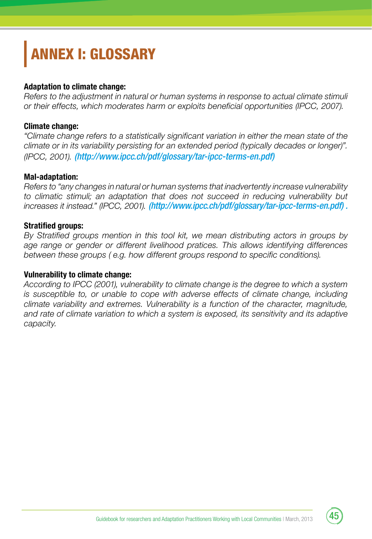# Annex I: Glossary

#### Adaptation to climate change:

*Refers to the adjustment in natural or human systems in response to actual climate stimuli or their effects, which moderates harm or exploits beneficial opportunities (IPCC, 2007).*

#### Climate change:

*"Climate change refers to a statistically significant variation in either the mean state of the climate or in its variability persisting for an extended period (typically decades or longer)". (IPCC, 2001). (http://www.ipcc.ch/pdf/glossary/tar-ipcc-terms-en.pdf)* 

#### Mal-adaptation:

*Refers to "any changes in natural or human systems that inadvertently increase vulnerability*  to climatic stimuli; an adaptation that does not succeed in reducing vulnerability but *increases it instead." (IPCC, 2001). (http://www.ipcc.ch/pdf/glossary/tar-ipcc-terms-en.pdf) .*

#### Stratified groups:

*By Stratified groups mention in this tool kit, we mean distributing actors in groups by age range or gender or different livelihood pratices. This allows identifying differences between these groups ( e.g. how different groups respond to specific conditions).*

#### Vulnerability to climate change:

*According to IPCC (2001), vulnerability to climate change is the degree to which a system is susceptible to, or unable to cope with adverse effects of climate change, including climate variability and extremes. Vulnerability is a function of the character, magnitude, and rate of climate variation to which a system is exposed, its sensitivity and its adaptive capacity.*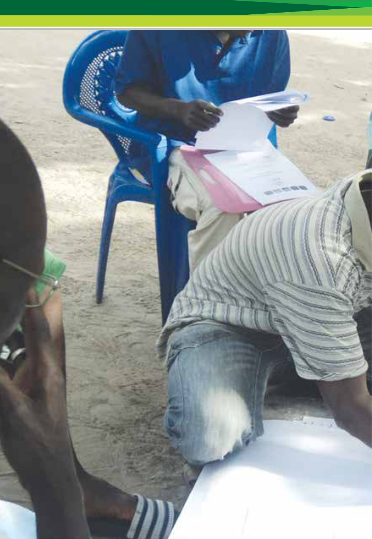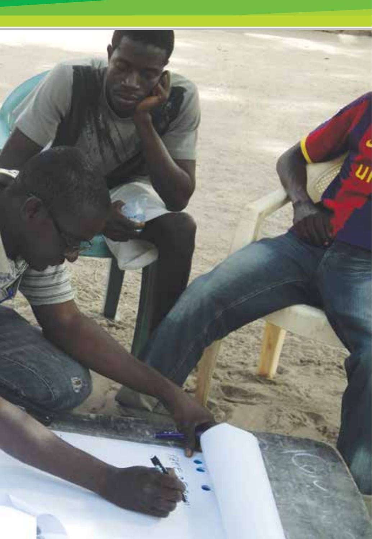